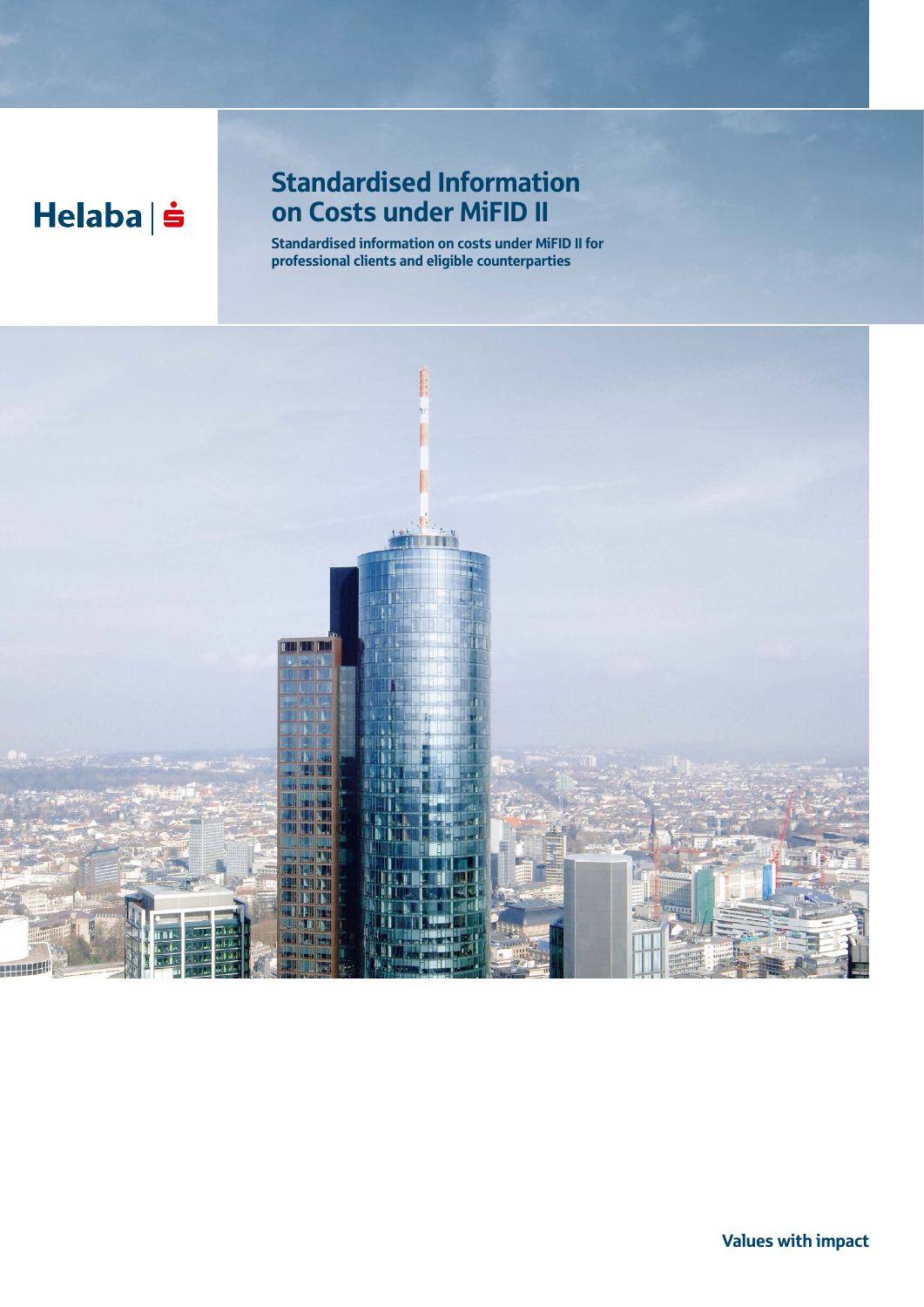# Helaba | s

## Standardised Information on Costs under MiFID II

Standardised information on costs under MiFID II for professional clients and eligible counterparties

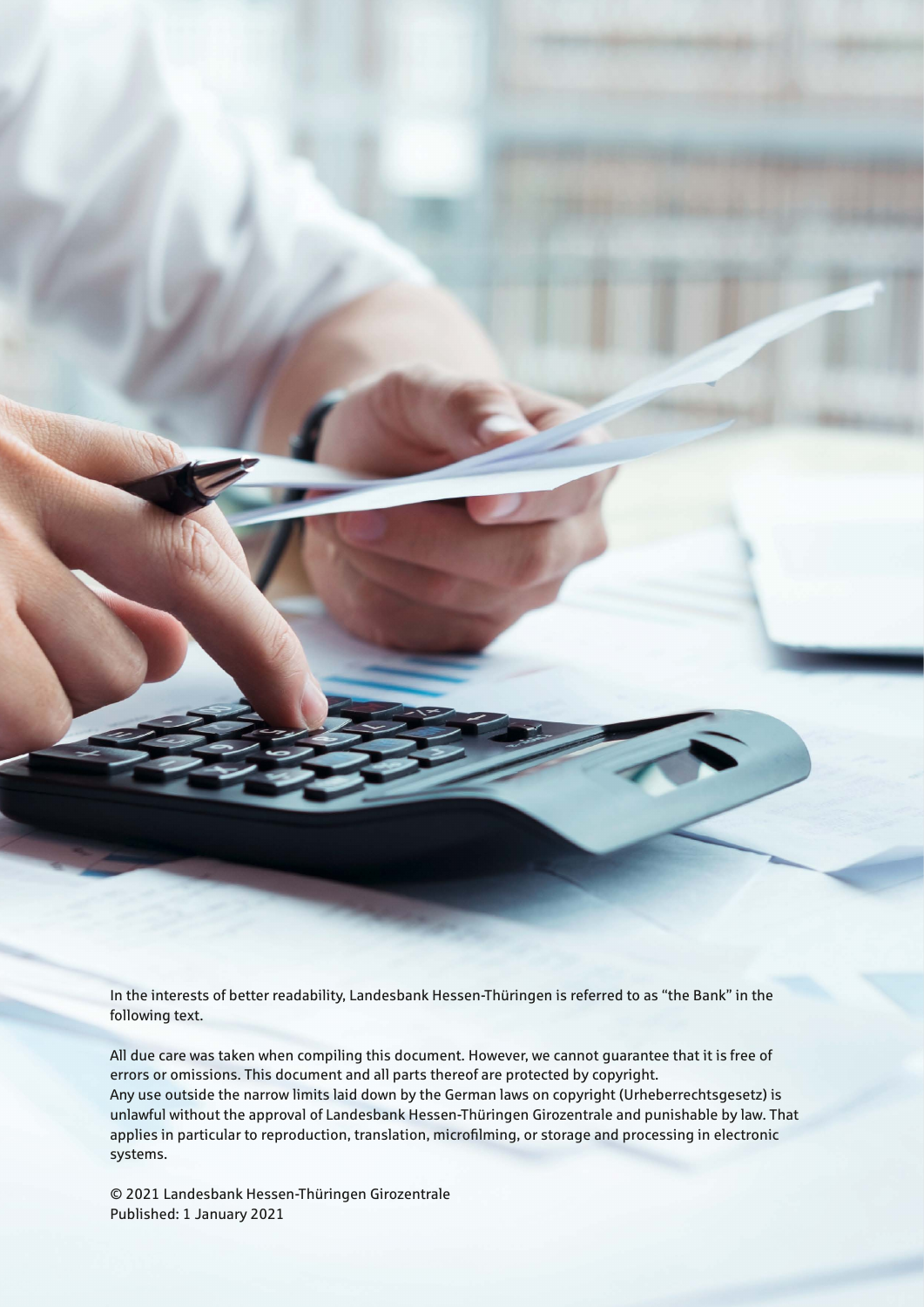In the interests of better readability, Landesbank Hessen-Thüringen is referred to as "the Bank" in the following text.

All due care was taken when compiling this document. However, we cannot guarantee that it is free of errors or omissions. This document and all parts thereof are protected by copyright. Any use outside the narrow limits laid down by the German laws on copyright (Urheberrechtsgesetz) is unlawful without the approval of Landesbank Hessen-Thüringen Girozentrale and punishable by law. That applies in particular to reproduction, translation, microfilming, or storage and processing in electronic systems.

© 2021 Landesbank Hessen-Thüringen Girozentrale Published: 1 January 2021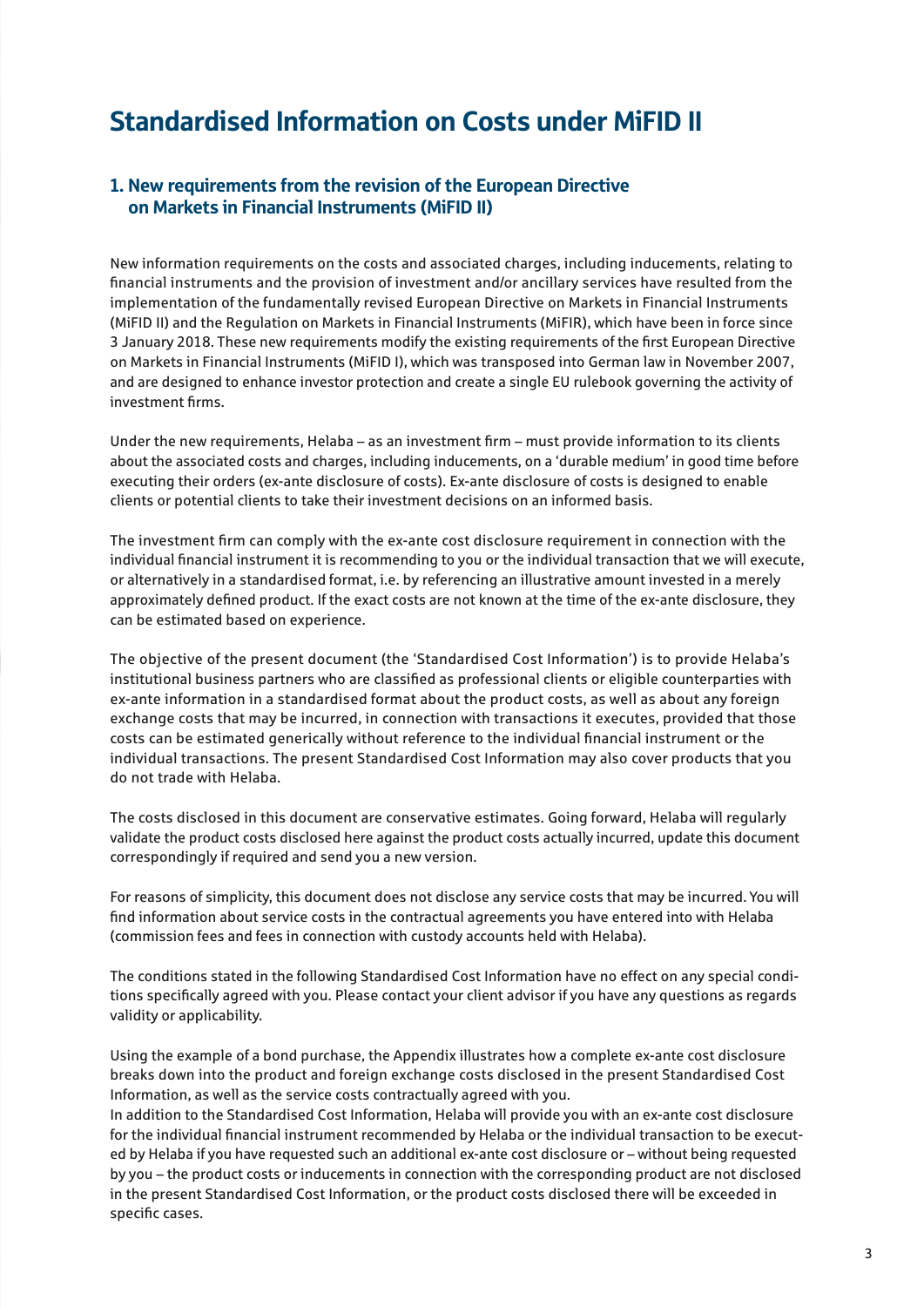## Standardised Information on Costs under MiFID II

## 1. New requirements from the revision of the European Directive on Markets in Financial Instruments (MiFID II)

New information requirements on the costs and associated charges, including inducements, relating to financial instruments and the provision of investment and/or ancillary services have resulted from the implementation of the fundamentally revised European Directive on Markets in Financial Instruments (MiFID II) and the Regulation on Markets in Financial Instruments (MiFIR), which have been in force since 3 January 2018. These new requirements modify the existing requirements of the first European Directive on Markets in Financial Instruments (MiFID I), which was transposed into German law in November 2007, and are designed to enhance investor protection and create a single EU rulebook governing the activity of investment firms.

Under the new requirements, Helaba – as an investment firm – must provide information to its clients about the associated costs and charges, including inducements, on a 'durable medium' in good time before executing their orders (ex-ante disclosure of costs). Ex-ante disclosure of costs is designed to enable clients or potential clients to take their investment decisions on an informed basis.

The investment firm can comply with the ex-ante cost disclosure requirement in connection with the individual financial instrument it is recommending to you or the individual transaction that we will execute, or alternatively in a standardised format, i.e. by referencing an illustrative amount invested in a merely approximately defined product. If the exact costs are not known at the time of the ex-ante disclosure, they can be estimated based on experience.

The objective of the present document (the 'Standardised Cost Information') is to provide Helaba's institutional business partners who are classified as professional clients or eligible counterparties with ex-ante information in a standardised format about the product costs, as well as about any foreign exchange costs that may be incurred, in connection with transactions it executes, provided that those costs can be estimated generically without reference to the individual financial instrument or the individual transactions. The present Standardised Cost Information may also cover products that you do not trade with Helaba.

The costs disclosed in this document are conservative estimates. Going forward, Helaba will regularly validate the product costs disclosed here against the product costs actually incurred, update this document correspondingly if required and send you a new version.

For reasons of simplicity, this document does not disclose any service costs that may be incurred. You will find information about service costs in the contractual agreements you have entered into with Helaba (commission fees and fees in connection with custody accounts held with Helaba).

The conditions stated in the following Standardised Cost Information have no effect on any special conditions specifically agreed with you. Please contact your client advisor if you have any questions as regards validity or applicability.

Using the example of a bond purchase, the Appendix illustrates how a complete ex-ante cost disclosure breaks down into the product and foreign exchange costs disclosed in the present Standardised Cost Information, as well as the service costs contractually agreed with you.

In addition to the Standardised Cost Information, Helaba will provide you with an ex-ante cost disclosure for the individual financial instrument recommended by Helaba or the individual transaction to be executed by Helaba if you have requested such an additional ex-ante cost disclosure or – without being requested by you – the product costs or inducements in connection with the corresponding product are not disclosed in the present Standardised Cost Information, or the product costs disclosed there will be exceeded in specific cases.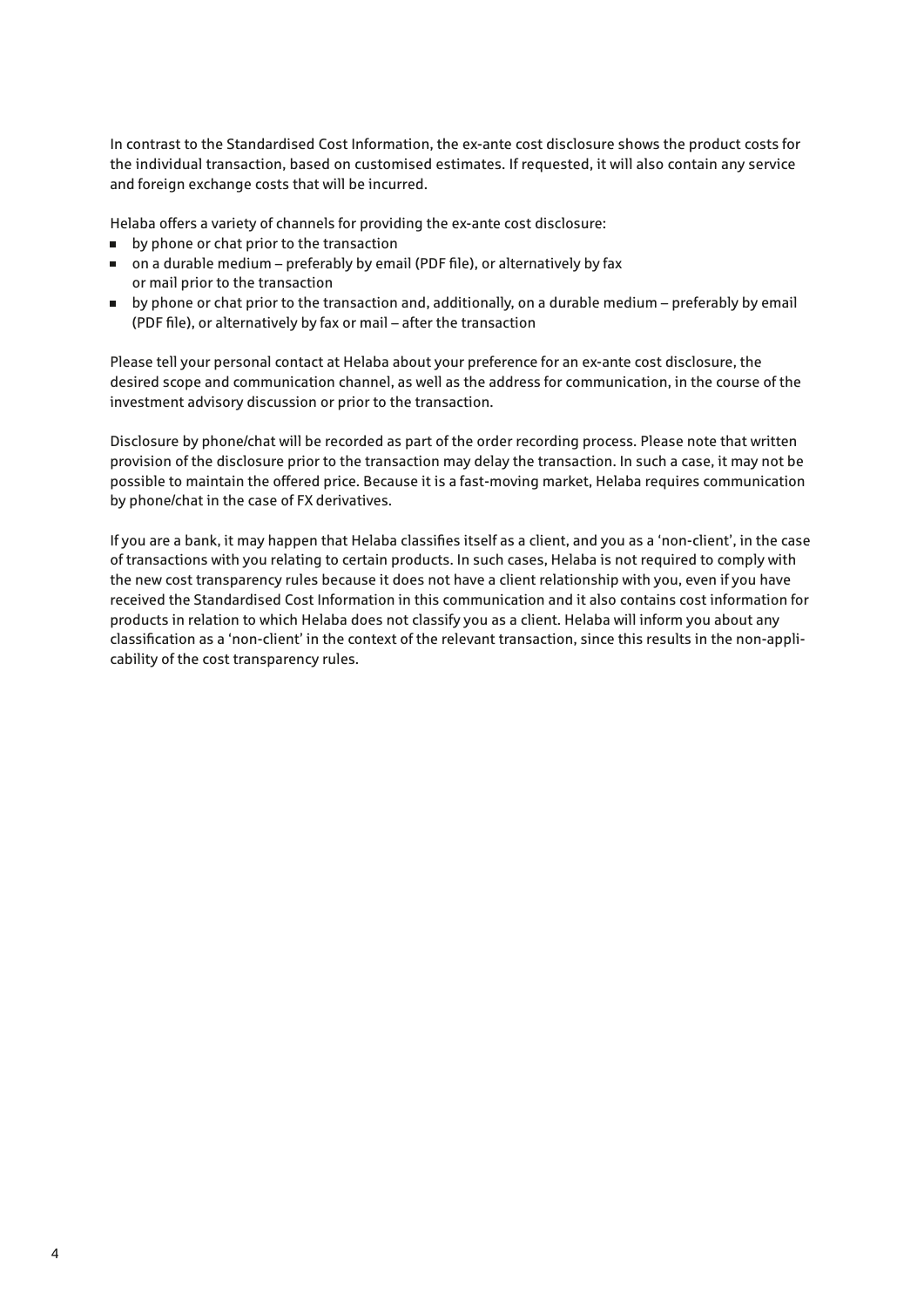In contrast to the Standardised Cost Information, the ex-ante cost disclosure shows the product costs for the individual transaction, based on customised estimates. If requested, it will also contain any service and foreign exchange costs that will be incurred.

Helaba offers a variety of channels for providing the ex-ante cost disclosure:

- **by phone or chat prior to the transaction**
- on a durable medium preferably by email (PDF file), or alternatively by fax or mail prior to the transaction
- by phone or chat prior to the transaction and, additionally, on a durable medium preferably by email (PDF file), or alternatively by fax or mail – after the transaction

Please tell your personal contact at Helaba about your preference for an ex-ante cost disclosure, the desired scope and communication channel, as well as the address for communication, in the course of the investment advisory discussion or prior to the transaction.

Disclosure by phone/chat will be recorded as part of the order recording process. Please note that written provision of the disclosure prior to the transaction may delay the transaction. In such a case, it may not be possible to maintain the offered price. Because it is a fast-moving market, Helaba requires communication by phone/chat in the case of FX derivatives.

If you are a bank, it may happen that Helaba classifies itself as a client, and you as a 'non-client', in the case of transactions with you relating to certain products. In such cases, Helaba is not required to comply with the new cost transparency rules because it does not have a client relationship with you, even if you have received the Standardised Cost Information in this communication and it also contains cost information for products in relation to which Helaba does not classify you as a client. Helaba will inform you about any classification as a 'non-client' in the context of the relevant transaction, since this results in the non-applicability of the cost transparency rules.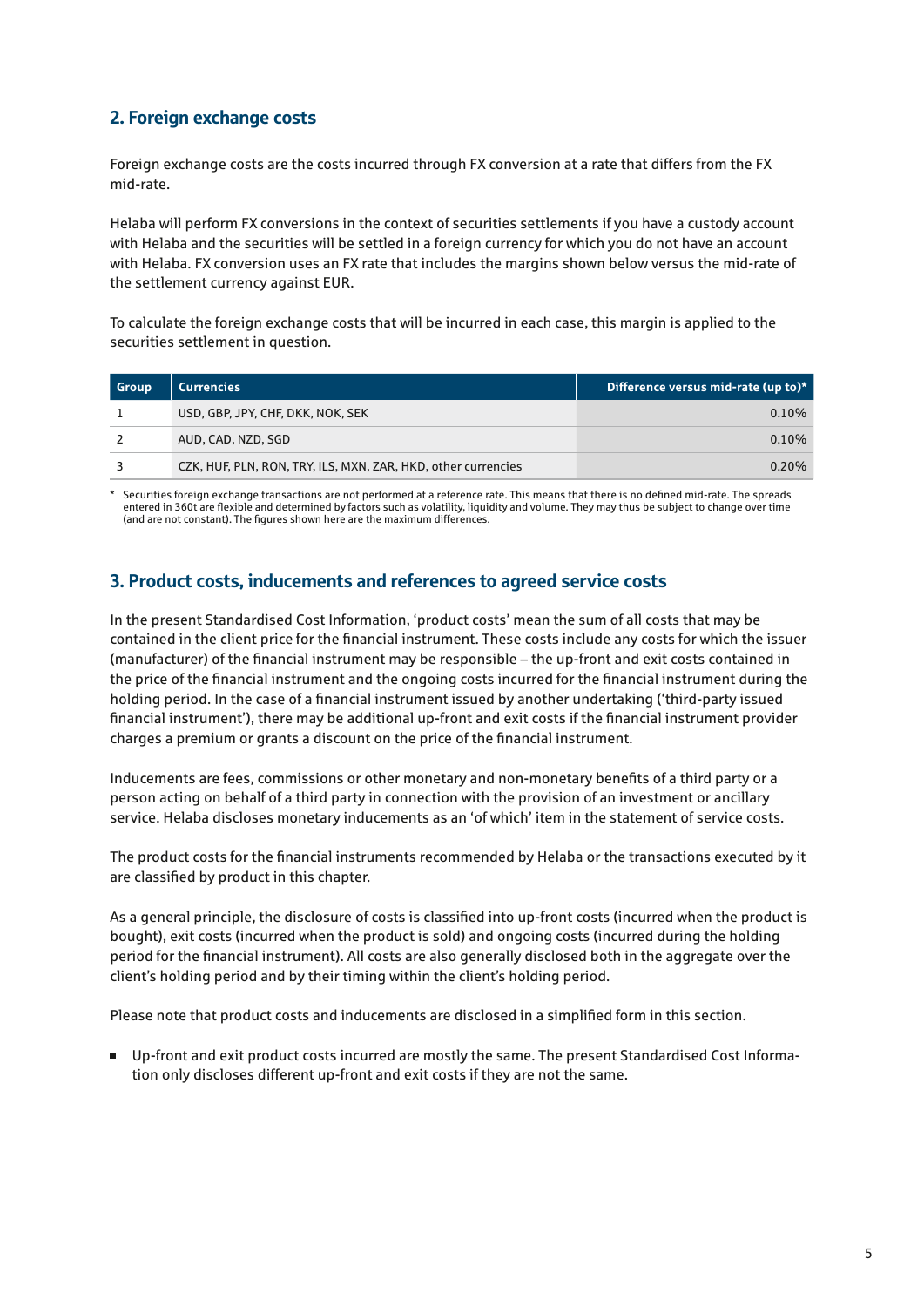## 2. Foreign exchange costs

Foreign exchange costs are the costs incurred through FX conversion at a rate that differs from the FX mid-rate.

Helaba will perform FX conversions in the context of securities settlements if you have a custody account with Helaba and the securities will be settled in a foreign currency for which you do not have an account with Helaba. FX conversion uses an FX rate that includes the margins shown below versus the mid-rate of the settlement currency against EUR.

To calculate the foreign exchange costs that will be incurred in each case, this margin is applied to the securities settlement in question.

| <b>Group</b> | <b>Currencies</b>                                             | Difference versus mid-rate (up to)* |
|--------------|---------------------------------------------------------------|-------------------------------------|
|              | USD, GBP, JPY, CHF, DKK, NOK, SEK                             | 0.10%                               |
|              | AUD, CAD, NZD, SGD                                            | $0.10\%$                            |
|              | CZK, HUF, PLN, RON, TRY, ILS, MXN, ZAR, HKD, other currencies | $0.20\%$                            |

\* Securities foreign exchange transactions are not performed at a reference rate. This means that there is no defined mid-rate. The spreads entered in 360t are flexible and determined by factors such as volatility, liquidity and volume. They may thus be subject to change over time (and are not constant). The figures shown here are the maximum differences.

### 3. Product costs, inducements and references to agreed service costs

In the present Standardised Cost Information, 'product costs' mean the sum of all costs that may be contained in the client price for the financial instrument. These costs include any costs for which the issuer (manufacturer) of the financial instrument may be responsible – the up-front and exit costs contained in the price of the financial instrument and the ongoing costs incurred for the financial instrument during the holding period. In the case of a financial instrument issued by another undertaking ('third-party issued financial instrument'), there may be additional up-front and exit costs if the financial instrument provider charges a premium or grants a discount on the price of the financial instrument.

Inducements are fees, commissions or other monetary and non-monetary benefits of a third party or a person acting on behalf of a third party in connection with the provision of an investment or ancillary service. Helaba discloses monetary inducements as an 'of which' item in the statement of service costs.

The product costs for the financial instruments recommended by Helaba or the transactions executed by it are classified by product in this chapter.

As a general principle, the disclosure of costs is classified into up-front costs (incurred when the product is bought), exit costs (incurred when the product is sold) and ongoing costs (incurred during the holding period for the financial instrument). All costs are also generally disclosed both in the aggregate over the client's holding period and by their timing within the client's holding period.

Please note that product costs and inducements are disclosed in a simplified form in this section.

 Up-front and exit product costs incurred are mostly the same. The present Standardised Cost Information only discloses different up-front and exit costs if they are not the same.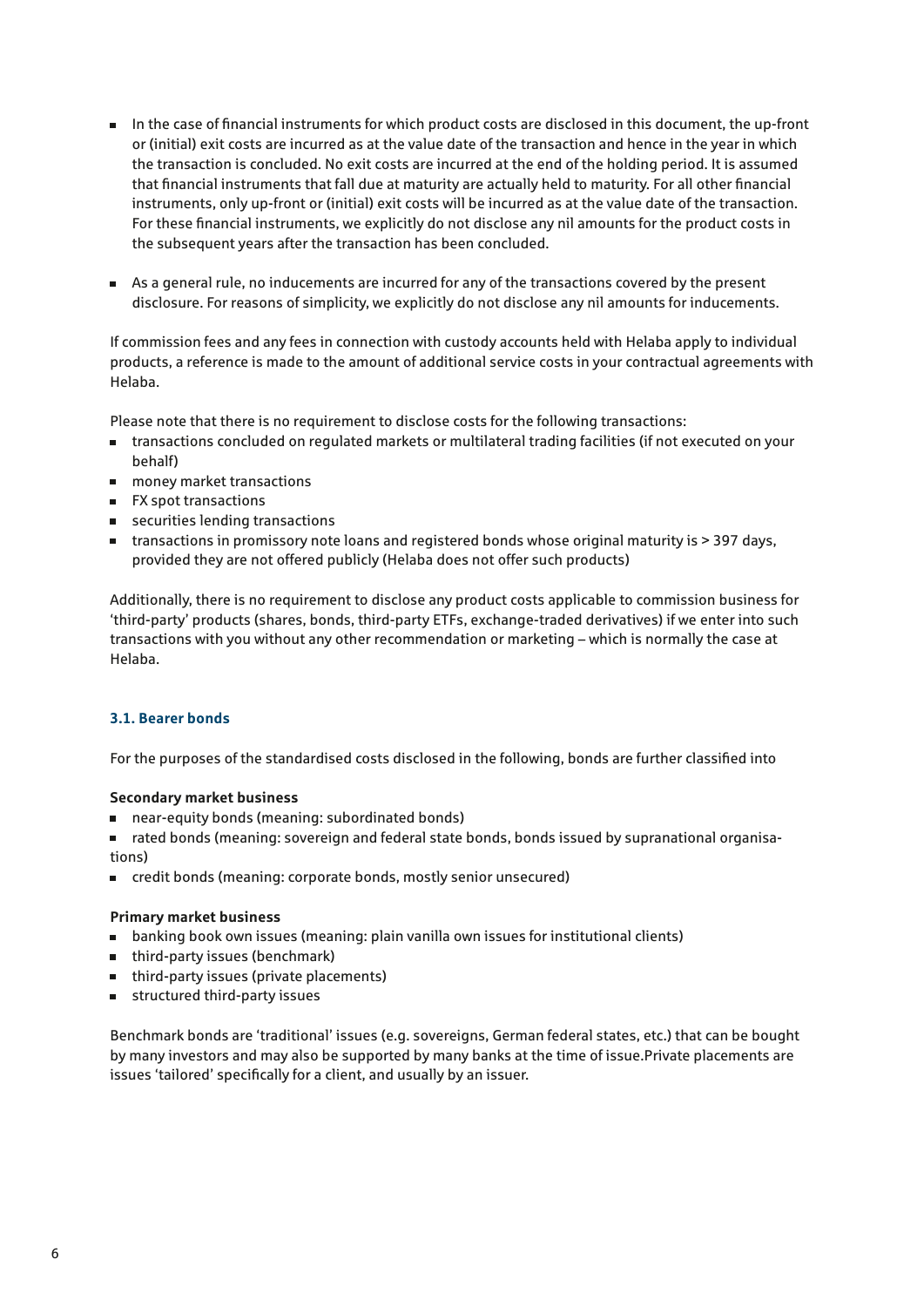- In the case of financial instruments for which product costs are disclosed in this document, the up-front or (initial) exit costs are incurred as at the value date of the transaction and hence in the year in which the transaction is concluded. No exit costs are incurred at the end of the holding period. It is assumed that financial instruments that fall due at maturity are actually held to maturity. For all other financial instruments, only up-front or (initial) exit costs will be incurred as at the value date of the transaction. For these financial instruments, we explicitly do not disclose any nil amounts for the product costs in the subsequent years after the transaction has been concluded.
- As a general rule, no inducements are incurred for any of the transactions covered by the present disclosure. For reasons of simplicity, we explicitly do not disclose any nil amounts for inducements.

If commission fees and any fees in connection with custody accounts held with Helaba apply to individual products, a reference is made to the amount of additional service costs in your contractual agreements with Helaba.

Please note that there is no requirement to disclose costs for the following transactions:

- transactions concluded on regulated markets or multilateral trading facilities (if not executed on your behalf)
- money market transactions
- **FX spot transactions**
- securities lending transactions
- $\blacksquare$  transactions in promissory note loans and registered bonds whose original maturity is  $>$  397 days, provided they are not offered publicly (Helaba does not offer such products)

Additionally, there is no requirement to disclose any product costs applicable to commission business for 'third-party' products (shares, bonds, third-party ETFs, exchange-traded derivatives) if we enter into such transactions with you without any other recommendation or marketing – which is normally the case at Helaba.

#### **3.1. Bearer bonds**

For the purposes of the standardised costs disclosed in the following, bonds are further classified into

#### **Secondary market business**

- near-equity bonds (meaning: subordinated bonds)
- rated bonds (meaning: sovereign and federal state bonds, bonds issued by supranational organisations)
- credit bonds (meaning: corporate bonds, mostly senior unsecured)

#### **Primary market business**

- banking book own issues (meaning: plain vanilla own issues for institutional clients)
- third-party issues (benchmark)
- third-party issues (private placements)
- structured third-party issues

Benchmark bonds are 'traditional' issues (e.g. sovereigns, German federal states, etc.) that can be bought by many investors and may also be supported by many banks at the time of issue.Private placements are issues 'tailored' specifically for a client, and usually by an issuer.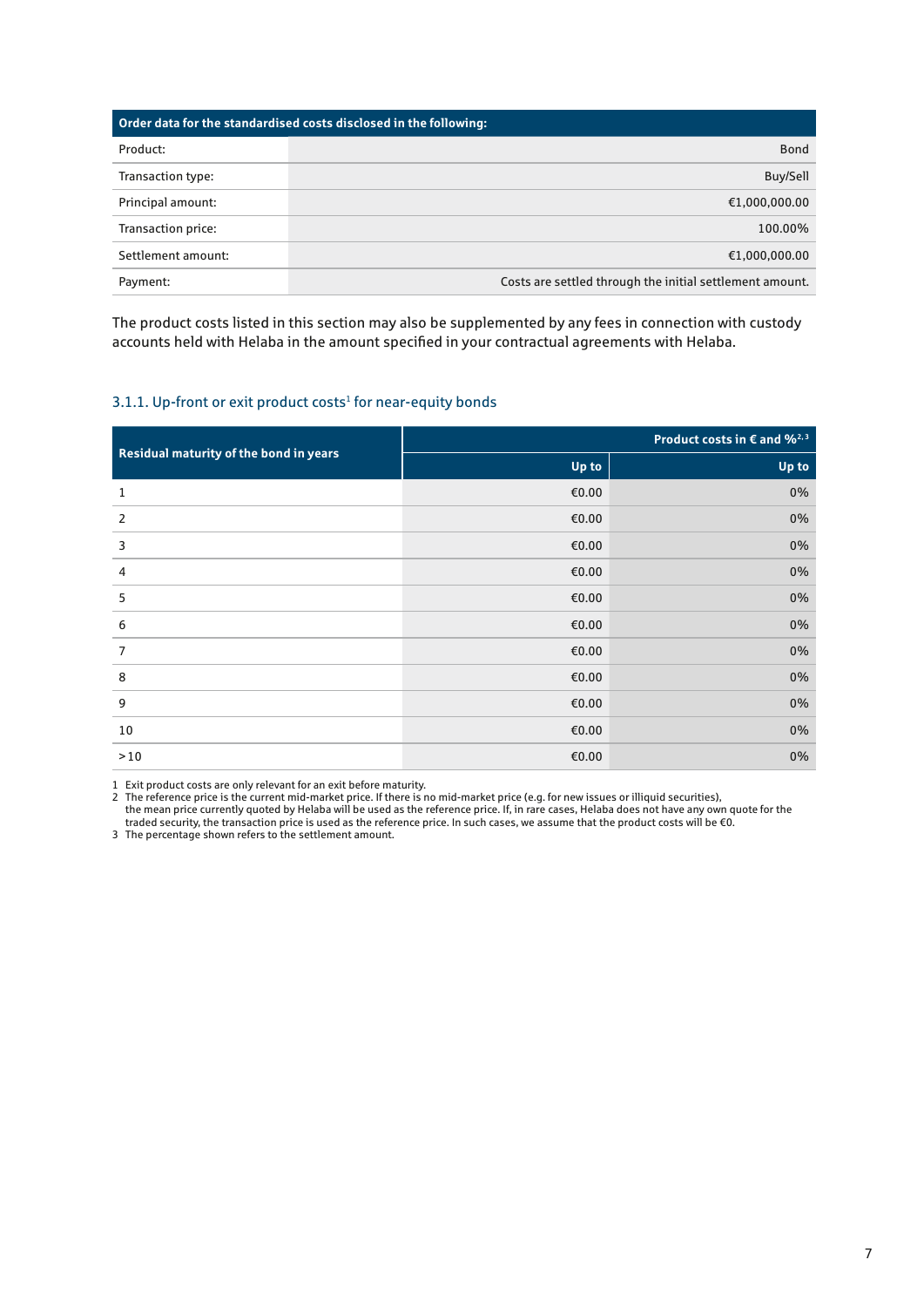| Order data for the standardised costs disclosed in the following: |                                                          |  |
|-------------------------------------------------------------------|----------------------------------------------------------|--|
| Product:                                                          | <b>Bond</b>                                              |  |
| Transaction type:                                                 | Buy/Sell                                                 |  |
| Principal amount:                                                 | €1,000,000.00                                            |  |
| Transaction price:                                                | 100.00%                                                  |  |
| Settlement amount:                                                | €1,000,000.00                                            |  |
| Payment:                                                          | Costs are settled through the initial settlement amount. |  |

The product costs listed in this section may also be supplemented by any fees in connection with custody accounts held with Helaba in the amount specified in your contractual agreements with Helaba.

#### 3.1.1. Up-front or exit product costs<sup>1</sup> for near-equity bonds

| Residual maturity of the bond in years | Product costs in $\epsilon$ and $\frac{62.3}{3}$ |       |  |
|----------------------------------------|--------------------------------------------------|-------|--|
|                                        | Up to                                            | Up to |  |
| 1                                      | €0.00                                            | 0%    |  |
| 2                                      | €0.00                                            | 0%    |  |
| 3                                      | €0.00                                            | 0%    |  |
| 4                                      | €0.00                                            | 0%    |  |
| 5                                      | €0.00                                            | 0%    |  |
| 6                                      | €0.00                                            | 0%    |  |
| 7                                      | €0.00                                            | 0%    |  |
| 8                                      | €0.00                                            | 0%    |  |
| 9                                      | €0.00                                            | $0\%$ |  |
| 10                                     | €0.00                                            | 0%    |  |
| $>10$                                  | €0.00                                            | 0%    |  |

1 Exit product costs are only relevant for an exit before maturity.

2 The reference price is the current mid-market price. If there is no mid-market price (e.g. for new issues or illiquid securities),

the mean price currently quoted by Helaba will be used as the reference price. If, in rare cases, Helaba does not have any own quote for the traded security, the transaction price is used as the reference price. In such cases, we assume that the product costs will be €0.

3 The percentage shown refers to the settlement amount.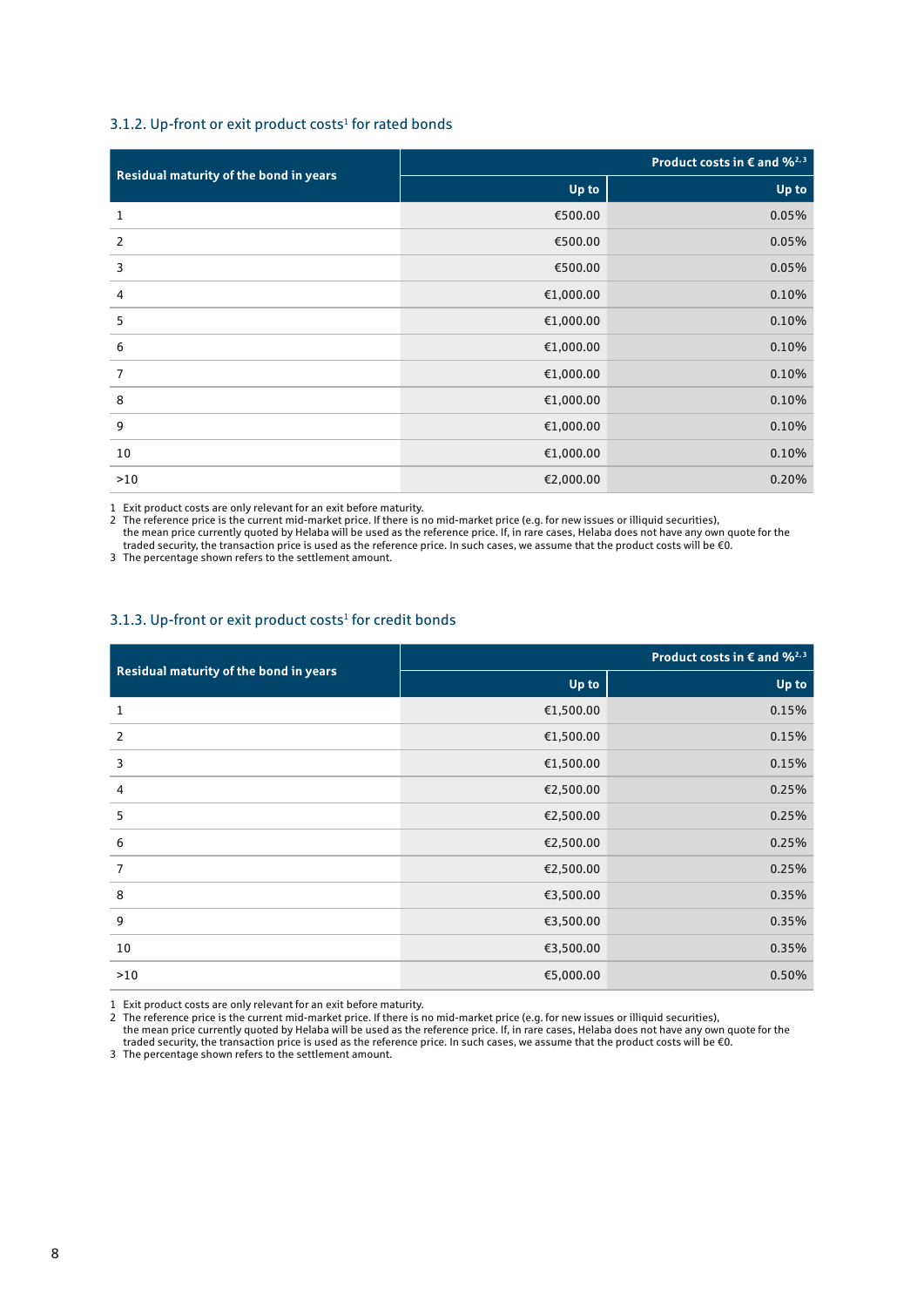#### 3.1.2. Up-front or exit product costs<sup>1</sup> for rated bonds

| Residual maturity of the bond in years | Product costs in $\epsilon$ and $\%^{2,3}$ |       |  |
|----------------------------------------|--------------------------------------------|-------|--|
|                                        | Up to                                      | Up to |  |
| 1                                      | €500.00                                    | 0.05% |  |
| 2                                      | €500.00                                    | 0.05% |  |
| 3                                      | €500.00                                    | 0.05% |  |
| 4                                      | €1,000.00                                  | 0.10% |  |
| 5                                      | €1,000.00                                  | 0.10% |  |
| 6                                      | €1,000.00                                  | 0.10% |  |
| $\overline{7}$                         | €1,000.00                                  | 0.10% |  |
| 8                                      | €1,000.00                                  | 0.10% |  |
| 9                                      | €1,000.00                                  | 0.10% |  |
| 10                                     | €1,000.00                                  | 0.10% |  |
| >10                                    | €2,000.00                                  | 0.20% |  |

Exit product costs are only relevant for an exit before maturity.

2 The reference price is the current mid-market price. If there is no mid-market price (e.g. for new issues or illiquid securities), the mean price currently quoted by Helaba will be used as the reference price. If, in rare cases, Helaba does not have any own quote for the traded security, the transaction price is used as the reference price. In such cases, we assume that the product costs will be €0.

The percentage shown refers to the settlement amount.

#### 3.1.3. Up-front or exit product costs<sup>1</sup> for credit bonds

|                                        | Product costs in $\epsilon$ and % <sup>2,3</sup> |       |  |
|----------------------------------------|--------------------------------------------------|-------|--|
| Residual maturity of the bond in years | Up to                                            | Up to |  |
| 1                                      | €1,500.00                                        | 0.15% |  |
| 2                                      | €1,500.00                                        | 0.15% |  |
| 3                                      | €1,500.00                                        | 0.15% |  |
| 4                                      | €2,500.00                                        | 0.25% |  |
| 5                                      | €2,500.00                                        | 0.25% |  |
| 6                                      | €2,500.00                                        | 0.25% |  |
| $\overline{7}$                         | €2,500.00                                        | 0.25% |  |
| 8                                      | €3,500.00                                        | 0.35% |  |
| 9                                      | €3,500.00                                        | 0.35% |  |
| 10                                     | €3,500.00                                        | 0.35% |  |
| >10                                    | €5,000.00                                        | 0.50% |  |

Exit product costs are only relevant for an exit before maturity.

2 The reference price is the current mid-market price. If there is no mid-market price (e.g. for new issues or illiquid securities),

the mean price currently quoted by Helaba will be used as the reference price. If, in rare cases, Helaba does not have any own quote for the traded security, the transaction price is used as the reference price. In such cases, we assume that the product costs will be €0.

The percentage shown refers to the settlement amount.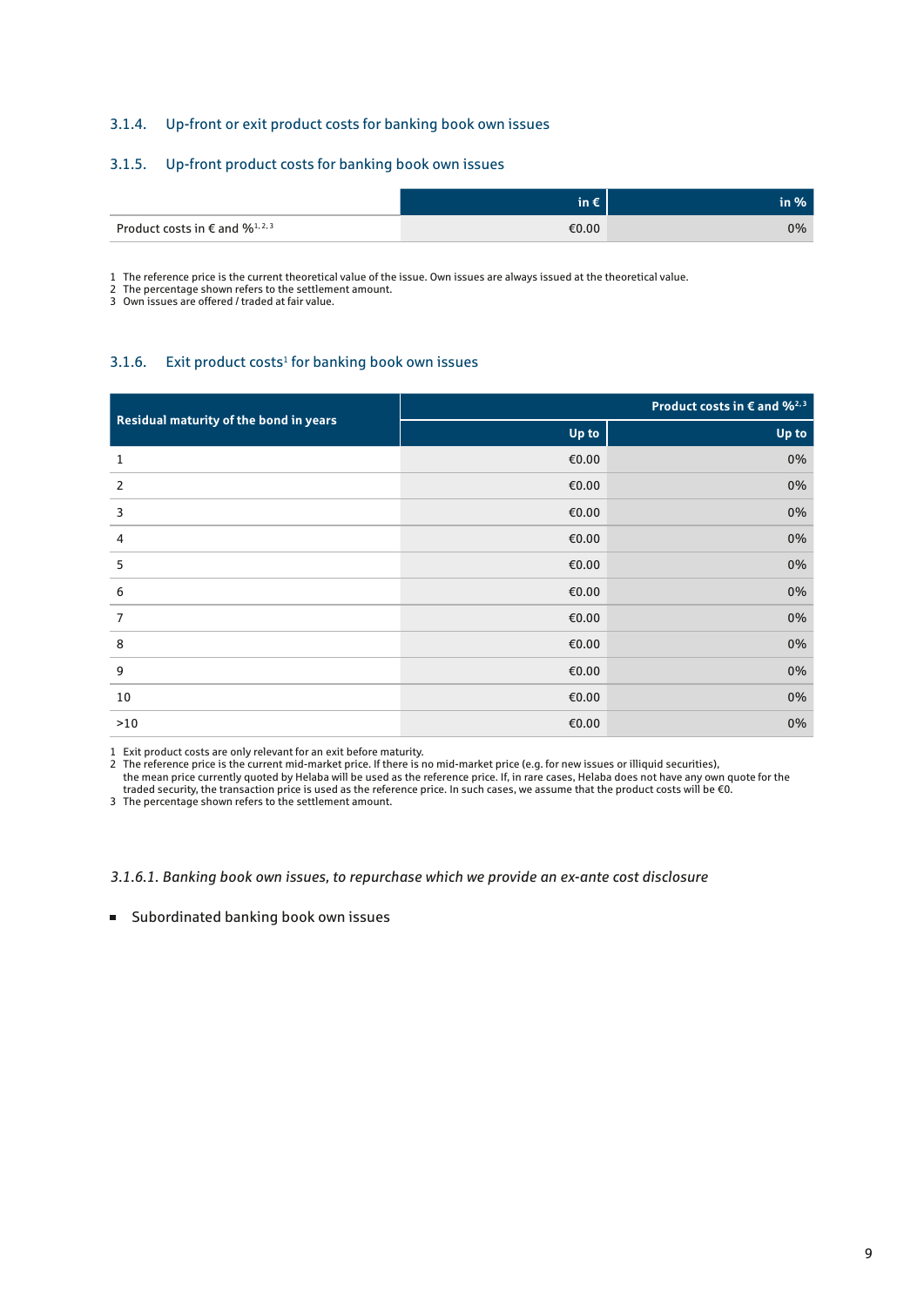#### 3.1.4. Up-front or exit product costs for banking book own issues

#### 3.1.5. Up-front product costs for banking book own issues

|                                              | 'in € | $\mathsf{in} \mathcal{N}$ |
|----------------------------------------------|-------|---------------------------|
| Product costs in $\epsilon$ and $\%^{1,2,3}$ | €0.00 | $0\%$                     |

1 The reference price is the current theoretical value of the issue. Own issues are always issued at the theoretical value.

2 The percentage shown refers to the settlement amount.

3 Own issues are offered / traded at fair value.

#### 3.1.6. Exit product costs<sup>1</sup> for banking book own issues

| Residual maturity of the bond in years | Product costs in $\epsilon$ and $\frac{62}{3}$ |       |  |
|----------------------------------------|------------------------------------------------|-------|--|
|                                        | Up to                                          | Up to |  |
| 1                                      | €0.00                                          | 0%    |  |
| 2                                      | €0.00                                          | 0%    |  |
| 3                                      | €0.00                                          | 0%    |  |
| 4                                      | €0.00                                          | 0%    |  |
| 5                                      | €0.00                                          | 0%    |  |
| 6                                      | €0.00                                          | 0%    |  |
| $\overline{7}$                         | €0.00                                          | 0%    |  |
| 8                                      | €0.00                                          | 0%    |  |
| 9                                      | €0.00                                          | 0%    |  |
| $10\,$                                 | €0.00                                          | 0%    |  |
| >10                                    | €0.00                                          | 0%    |  |

1 Exit product costs are only relevant for an exit before maturity.

2 The reference price is the current mid-market price. If there is no mid-market price (e.g. for new issues or illiquid securities), the mean price currently quoted by Helaba will be used as the reference price. If, in rare cases, Helaba does not have any own quote for the traded security, the transaction price is used as the reference price. In such cases, we assume that the product costs will be €0.

3 The percentage shown refers to the settlement amount.

*3.1.6.1. Banking book own issues, to repurchase which we provide an ex-ante cost disclosure*

Subordinated banking book own issues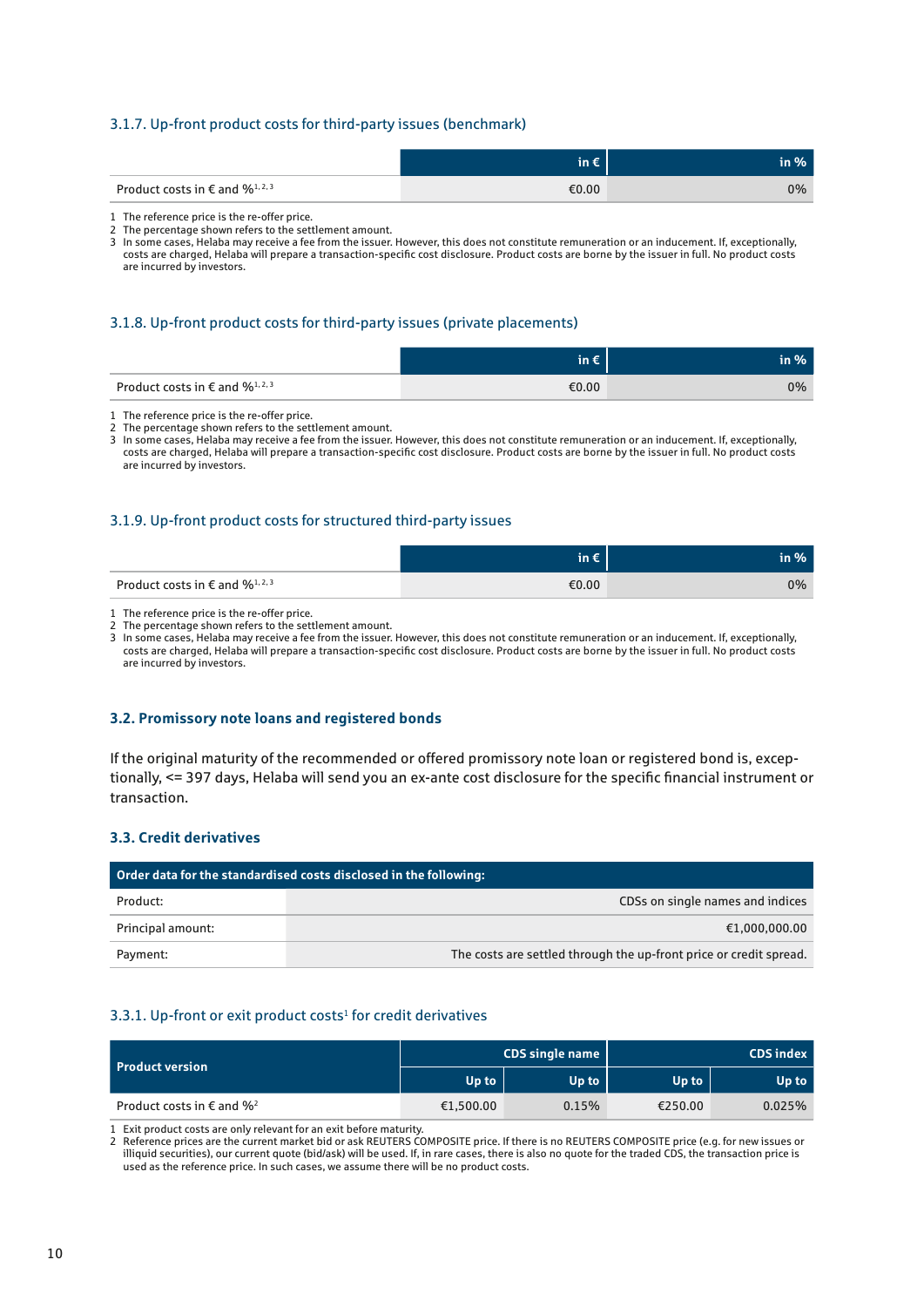#### 3.1.7. Up-front product costs for third-party issues (benchmark)

|                                                       | $\mathsf{in} \in$ | in %' |
|-------------------------------------------------------|-------------------|-------|
| Product costs in $\epsilon$ and $\%$ <sup>1,2,3</sup> | €0.00             | $0\%$ |

1 The reference price is the re-offer price.

2 The percentage shown refers to the settlement amount.

3 In some cases, Helaba may receive a fee from the issuer. However, this does not constitute remuneration or an inducement. If, exceptionally, costs are charged, Helaba will prepare a transaction-specific cost disclosure. Product costs are borne by the issuer in full. No product costs are incurred by investors.

#### 3.1.8. Up-front product costs for third-party issues (private placements)

|                                                                | in $\epsilon$ | in %  |
|----------------------------------------------------------------|---------------|-------|
| Product costs in $\epsilon$ and $\frac{6}{12}$ , $\frac{3}{2}$ | €0.00         | $0\%$ |

1 The reference price is the re-offer price.

2 The percentage shown refers to the settlement amount.

3 In some cases, Helaba may receive a fee from the issuer. However, this does not constitute remuneration or an inducement. If, exceptionally, costs are charged, Helaba will prepare a transaction-specific cost disclosure. Product costs are borne by the issuer in full. No product costs are incurred by investors.

#### 3.1.9. Up-front product costs for structured third-party issues

|                                                         |       | $\mathsf{in} \mathcal{%}$ |
|---------------------------------------------------------|-------|---------------------------|
| Product costs in $\epsilon$ and $\%$ <sup>1, 2, 3</sup> | €0.00 | $0\%$                     |

1 The reference price is the re-offer price.

3 In some cases, Helaba may receive a fee from the issuer. However, this does not constitute remuneration or an inducement. If, exceptionally, costs are charged, Helaba will prepare a transaction-specific cost disclosure. Product costs are borne by the issuer in full. No product costs are incurred by investors.

#### **3.2. Promissory note loans and registered bonds**

If the original maturity of the recommended or offered promissory note loan or registered bond is, exceptionally, <= 397 days, Helaba will send you an ex-ante cost disclosure for the specific financial instrument or transaction.

#### **3.3. Credit derivatives**

| Order data for the standardised costs disclosed in the following: |                                                                    |  |
|-------------------------------------------------------------------|--------------------------------------------------------------------|--|
| Product:                                                          | CDSs on single names and indices                                   |  |
| Principal amount:                                                 | €1,000,000.00                                                      |  |
| Payment:                                                          | The costs are settled through the up-front price or credit spread. |  |

#### $3.3.1.$  Up-front or exit product costs<sup>1</sup> for credit derivatives

| <b>Product version</b>                 | CDS single name |       | <b>CDS</b> index |        |
|----------------------------------------|-----------------|-------|------------------|--------|
|                                        | Up to           | Up to | Up to            | Up to  |
| Product costs in $\epsilon$ and $\%^2$ | €1,500.00       | 0.15% | €250.00          | 0.025% |

1 Exit product costs are only relevant for an exit before maturity.

2 Reference prices are the current market bid or ask REUTERS COMPOSITE price. If there is no REUTERS COMPOSITE price (e.g. for new issues or illiquid securities), our current quote (bid/ask) will be used. If, in rare cases, there is also no quote for the traded CDS, the transaction price is used as the reference price. In such cases, we assume there will be no product costs.

<sup>2</sup> The percentage shown refers to the settlement amount.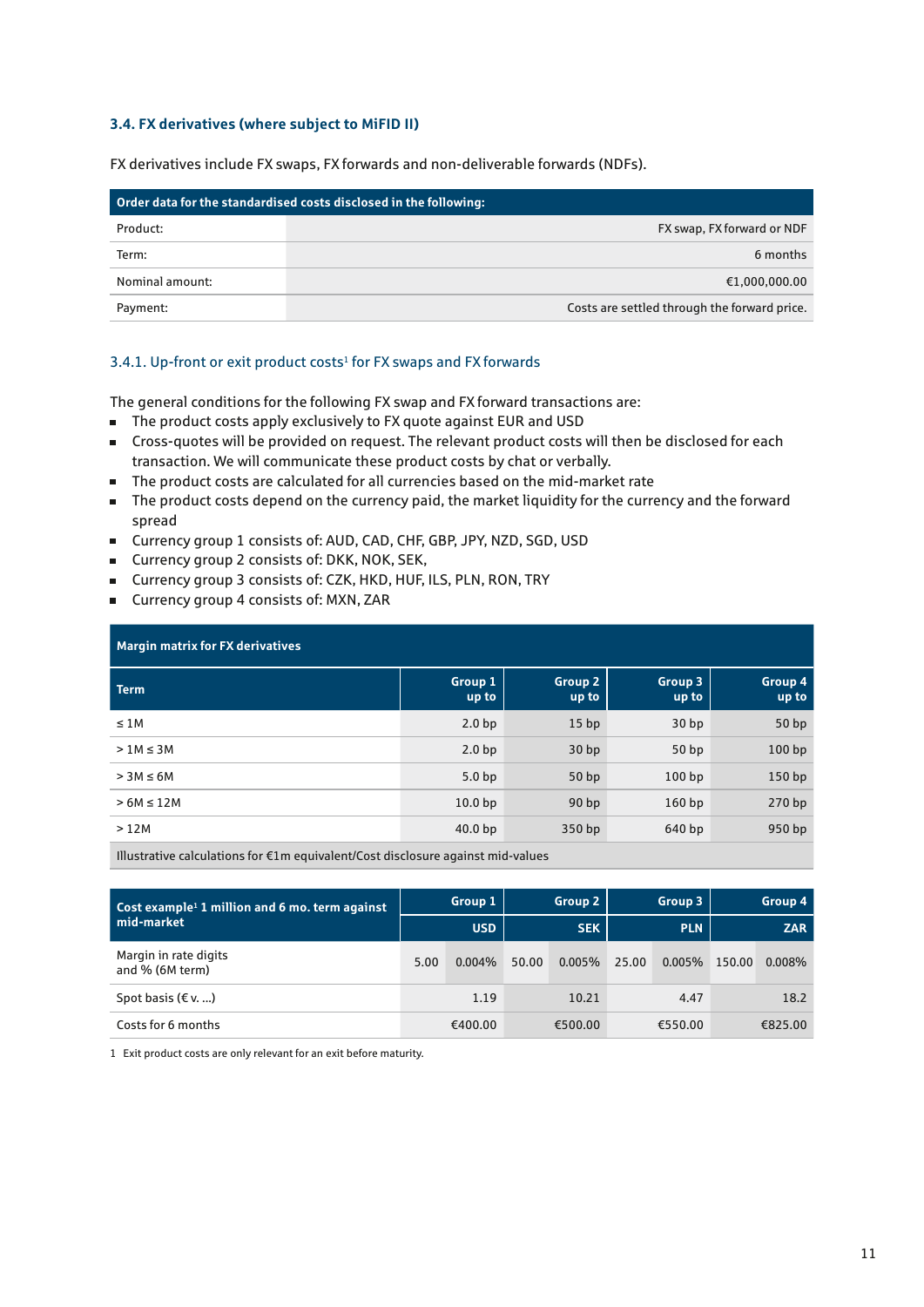#### **3.4. FX derivatives (where subject to MiFID II)**

FX derivatives include FX swaps, FX forwards and non-deliverable forwards (NDFs).

| Order data for the standardised costs disclosed in the following: |                                              |  |
|-------------------------------------------------------------------|----------------------------------------------|--|
| Product:                                                          | FX swap, FX forward or NDF                   |  |
| Term:                                                             | 6 months                                     |  |
| Nominal amount:                                                   | €1,000,000.00                                |  |
| Payment:                                                          | Costs are settled through the forward price. |  |

#### 3.4.1. Up-front or exit product costs<sup>1</sup> for FX swaps and FX forwards

The general conditions for the following FX swap and FX forward transactions are:

- The product costs apply exclusively to FX quote against EUR and USD
- Cross-quotes will be provided on request. The relevant product costs will then be disclosed for each transaction. We will communicate these product costs by chat or verbally.
- The product costs are calculated for all currencies based on the mid-market rate
- The product costs depend on the currency paid, the market liquidity for the currency and the forward spread
- Currency group 1 consists of: AUD, CAD, CHF, GBP, JPY, NZD, SGD, USD
- Currency group 2 consists of: DKK, NOK, SEK,
- Currency group 3 consists of: CZK, HKD, HUF, ILS, PLN, RON, TRY
- Currency group 4 consists of: MXN, ZAR

| <b>Margin matrix for FX derivatives</b> |                    |                  |                  |                   |  |  |
|-----------------------------------------|--------------------|------------------|------------------|-------------------|--|--|
| <b>Term</b>                             | Group 1<br>up to   | Group 2<br>up to | Group 3<br>up to | Group 4<br>up to  |  |  |
| $\leq 1M$                               | 2.0 <sub>bp</sub>  | 15 <sub>bp</sub> | 30 <sub>bp</sub> | 50bp              |  |  |
| $>1M \leq 3M$                           | 2.0 <sub>bp</sub>  | 30 <sub>bp</sub> | 50bp             | 100bp             |  |  |
| $> 3M \leq 6M$                          | 5.0 <sub>bp</sub>  | 50 bp            | 100bp            | 150 <sub>bp</sub> |  |  |
| $>6M \leq 12M$                          | 10.0 <sub>bp</sub> | 90 <sub>bp</sub> | 160bp            | 270 bp            |  |  |
| >12M                                    | 40.0 <sub>bp</sub> | 350 bp           | 640 bp           | 950 bp            |  |  |

Illustrative calculations for €1m equivalent/Cost disclosure against mid-values

| Cost example <sup>1</sup> 1 million and 6 mo. term against |      | Group 1    |       | <b>Group 2</b> |       | Group 3    |        | Group 4    |
|------------------------------------------------------------|------|------------|-------|----------------|-------|------------|--------|------------|
| mid-market                                                 |      | <b>USD</b> |       | <b>SEK</b>     |       | <b>PLN</b> |        | <b>ZAR</b> |
| Margin in rate digits<br>and $%$ (6M term)                 | 5.00 | $0.004\%$  | 50.00 | $0.005\%$      | 25.00 | 0.005%     | 150.00 | 0.008%     |
| Spot basis $(\epsilon v, )$                                |      | 1.19       |       | 10.21          |       | 4.47       |        | 18.2       |
| Costs for 6 months                                         |      | €400.00    |       | €500.00        |       | €550.00    |        | €825.00    |

1 Exit product costs are only relevant for an exit before maturity.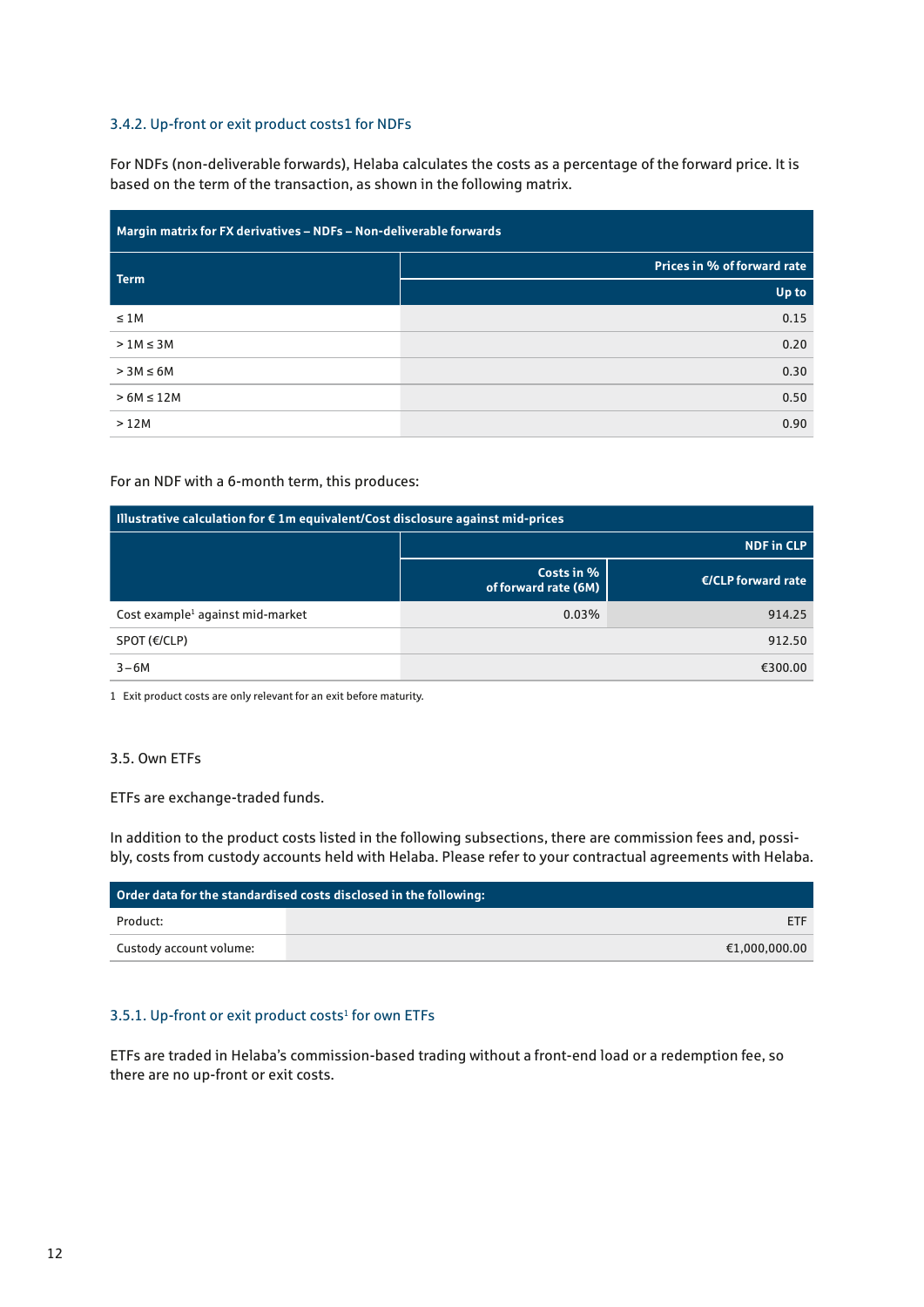#### 3.4.2. Up-front or exit product costs1 for NDFs

For NDFs (non-deliverable forwards), Helaba calculates the costs as a percentage of the forward price. It is based on the term of the transaction, as shown in the following matrix.

| Margin matrix for FX derivatives - NDFs - Non-deliverable forwards |                                    |  |  |  |
|--------------------------------------------------------------------|------------------------------------|--|--|--|
| <b>Term</b>                                                        | <b>Prices in % of forward rate</b> |  |  |  |
|                                                                    | Up to                              |  |  |  |
| $\leq 1M$                                                          | 0.15                               |  |  |  |
| $>1M \leq 3M$                                                      | 0.20                               |  |  |  |
| $> 3M \leq 6M$                                                     | 0.30                               |  |  |  |
| $>6M \leq 12M$                                                     | 0.50                               |  |  |  |
| >12M                                                               | 0.90                               |  |  |  |

#### For an NDF with a 6-month term, this produces:

| $\blacksquare$ Illustrative calculation for € 1m equivalent/Cost disclosure against mid-prices |                                    |                      |  |  |
|------------------------------------------------------------------------------------------------|------------------------------------|----------------------|--|--|
|                                                                                                | <b>NDF in CLP</b>                  |                      |  |  |
|                                                                                                | Costs in %<br>of forward rate (6M) | $E/CLP$ forward rate |  |  |
| Cost example <sup>1</sup> against mid-market                                                   | 0.03%                              | 914.25               |  |  |
| $SPOT$ ( $E/CLP$ )                                                                             |                                    | 912.50               |  |  |
| $3-6M$                                                                                         |                                    | €300.00              |  |  |

1 Exit product costs are only relevant for an exit before maturity.

#### 3.5. Own ETFs

ETFs are exchange-traded funds.

In addition to the product costs listed in the following subsections, there are commission fees and, possibly, costs from custody accounts held with Helaba. Please refer to your contractual agreements with Helaba.

| Order data for the standardised costs disclosed in the following: |               |  |  |
|-------------------------------------------------------------------|---------------|--|--|
| Product:                                                          | <b>ETF</b>    |  |  |
| Custody account volume:                                           | €1.000.000.00 |  |  |

#### 3.5.1. Up-front or exit product costs<sup>1</sup> for own ETFs

ETFs are traded in Helaba's commission-based trading without a front-end load or a redemption fee, so there are no up-front or exit costs.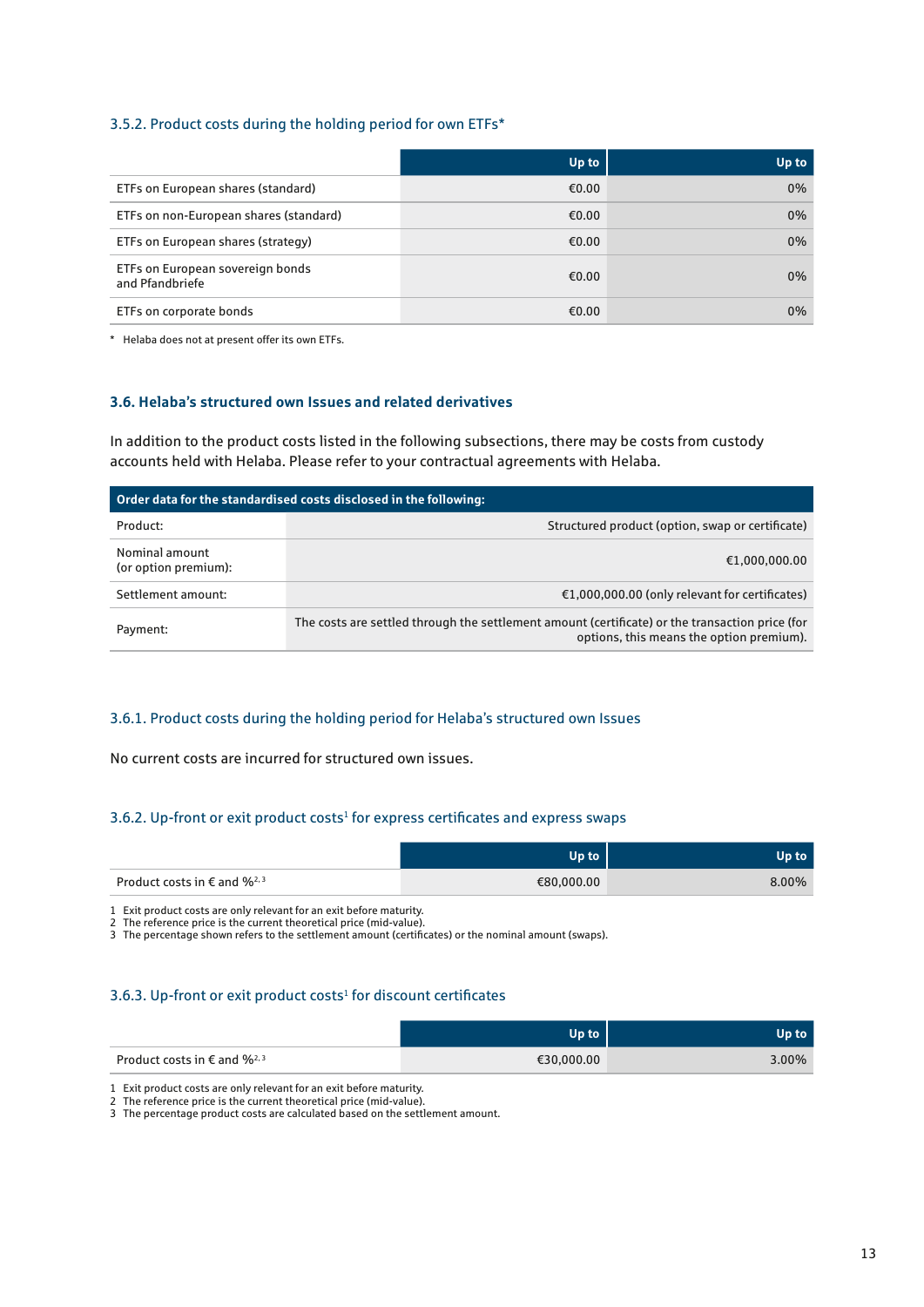#### 3.5.2. Product costs during the holding period for own ETFs\*

|                                                     | Up to | Up to |
|-----------------------------------------------------|-------|-------|
| ETFs on European shares (standard)                  | €0.00 | $0\%$ |
| ETFs on non-European shares (standard)              | €0.00 | $0\%$ |
| ETFs on European shares (strategy)                  | €0.00 | $0\%$ |
| ETFs on European sovereign bonds<br>and Pfandbriefe | €0.00 | $0\%$ |
| ETFs on corporate bonds                             | €0.00 | $0\%$ |

\* Helaba does not at present offer its own ETFs.

#### **3.6. Helaba's structured own Issues and related derivatives**

In addition to the product costs listed in the following subsections, there may be costs from custody accounts held with Helaba. Please refer to your contractual agreements with Helaba.

| Order data for the standardised costs disclosed in the following: |                                                                                                                                             |  |  |  |
|-------------------------------------------------------------------|---------------------------------------------------------------------------------------------------------------------------------------------|--|--|--|
| Product:                                                          | Structured product (option, swap or certificate)                                                                                            |  |  |  |
| Nominal amount<br>(or option premium):                            | €1,000,000.00                                                                                                                               |  |  |  |
| Settlement amount:                                                | $£1,000,000.00$ (only relevant for certificates)                                                                                            |  |  |  |
| Payment:                                                          | The costs are settled through the settlement amount (certificate) or the transaction price (for<br>options, this means the option premium). |  |  |  |

#### 3.6.1. Product costs during the holding period for Helaba's structured own Issues

No current costs are incurred for structured own issues.

#### 3.6.2. Up-front or exit product costs<sup>1</sup> for express certificates and express swaps

|                                                    | Up to      | Up to '  |
|----------------------------------------------------|------------|----------|
| Product costs in $\epsilon$ and $\frac{96^{2}}{3}$ | €80,000.00 | $8.00\%$ |

1 Exit product costs are only relevant for an exit before maturity.

2 The reference price is the current theoretical price (mid-value).

3 The percentage shown refers to the settlement amount (certificates) or the nominal amount (swaps).

#### 3.6.3. Up-front or exit product costs<sup>1</sup> for discount certificates

|                                            | $\mathbf{u}$ | Up to. |
|--------------------------------------------|--------------|--------|
| Product costs in $\epsilon$ and $\%^{2,3}$ | €30,000.00   | 3.00%  |

1 Exit product costs are only relevant for an exit before maturity.

2 The reference price is the current theoretical price (mid-value).

3 The percentage product costs are calculated based on the settlement amount.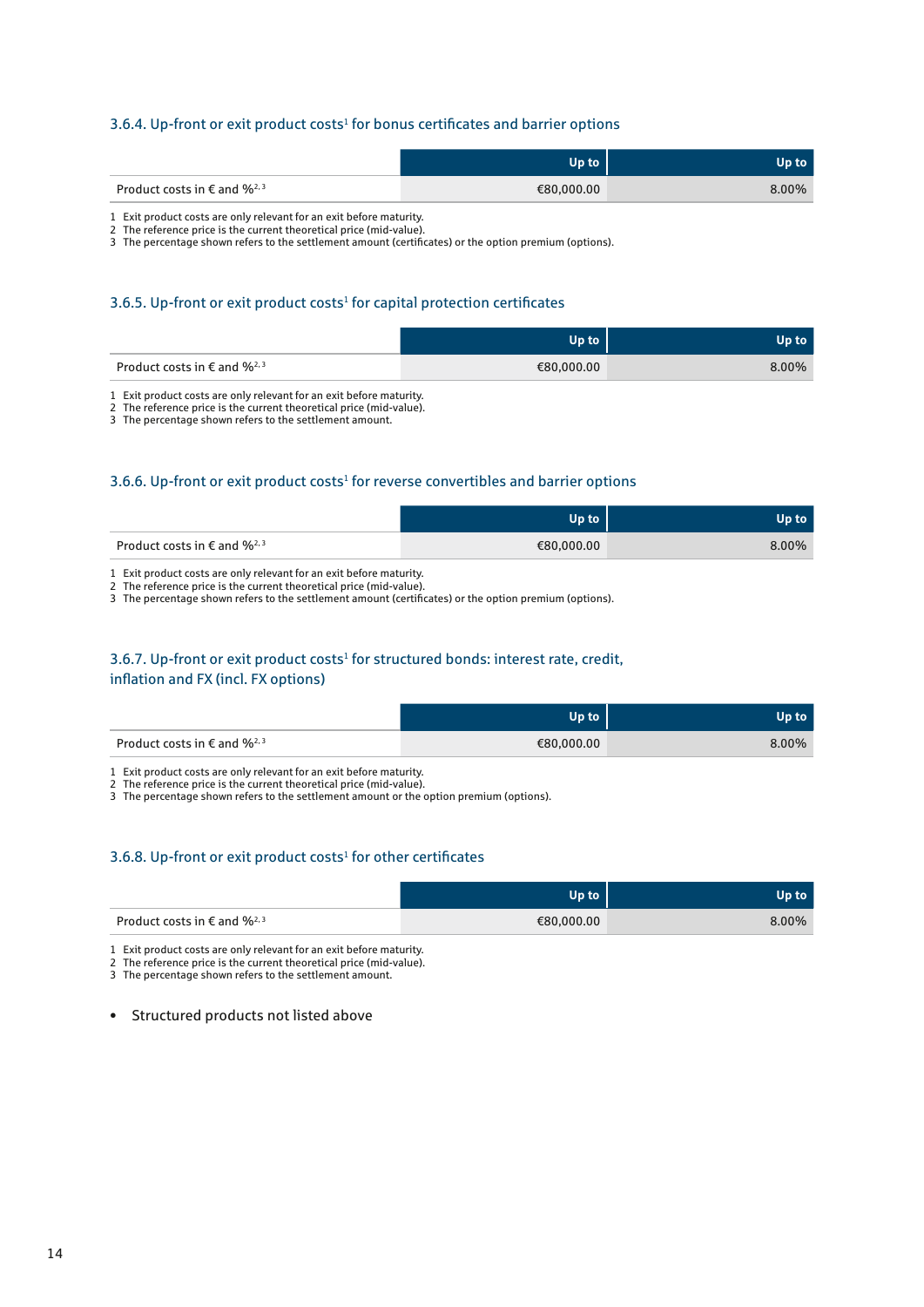#### 3.6.4. Up-front or exit product costs<sup>1</sup> for bonus certificates and barrier options

|                                            | Up to      | Up to |
|--------------------------------------------|------------|-------|
| Product costs in $\epsilon$ and $\%^{2,3}$ | €80,000.00 | 8.00% |
|                                            |            |       |

1 Exit product costs are only relevant for an exit before maturity.

2 The reference price is the current theoretical price (mid-value).

3 The percentage shown refers to the settlement amount (certificates) or the option premium (options).

#### 3.6.5. Up-front or exit product costs<sup>1</sup> for capital protection certificates

|                                            | lln to:    | Up to    |
|--------------------------------------------|------------|----------|
| Product costs in $\epsilon$ and $\%^{2,3}$ | €80,000.00 | $8.00\%$ |

1 Exit product costs are only relevant for an exit before maturity.

2 The reference price is the current theoretical price (mid-value).

3 The percentage shown refers to the settlement amount.

#### 3.6.6. Up-front or exit product costs<sup>1</sup> for reverse convertibles and barrier options

|                                            | Up to      | Up to ' |
|--------------------------------------------|------------|---------|
| Product costs in $\epsilon$ and $\%^{2,3}$ | €80,000.00 | 8.00%   |

1 Exit product costs are only relevant for an exit before maturity.

2 The reference price is the current theoretical price (mid-value).

3 The percentage shown refers to the settlement amount (certificates) or the option premium (options).

#### 3.6.7. Up-front or exit product costs<sup>1</sup> for structured bonds: interest rate, credit, inflation and FX (incl. FX options)

|                                            | Up to      | Up to' |
|--------------------------------------------|------------|--------|
| Product costs in $\epsilon$ and $\%^{2,3}$ | €80,000.00 | 8.00%  |

1 Exit product costs are only relevant for an exit before maturity.

2 The reference price is the current theoretical price (mid-value).

3 The percentage shown refers to the settlement amount or the option premium (options).

#### 3.6.8. Up-front or exit product costs<sup>1</sup> for other certificates

|                                            | Up to      | Jp to |
|--------------------------------------------|------------|-------|
| Product costs in $\epsilon$ and $\%^{2,3}$ | €80,000.00 | 8.00% |

1 Exit product costs are only relevant for an exit before maturity.

2 The reference price is the current theoretical price (mid-value).

3 The percentage shown refers to the settlement amount.

• Structured products not listed above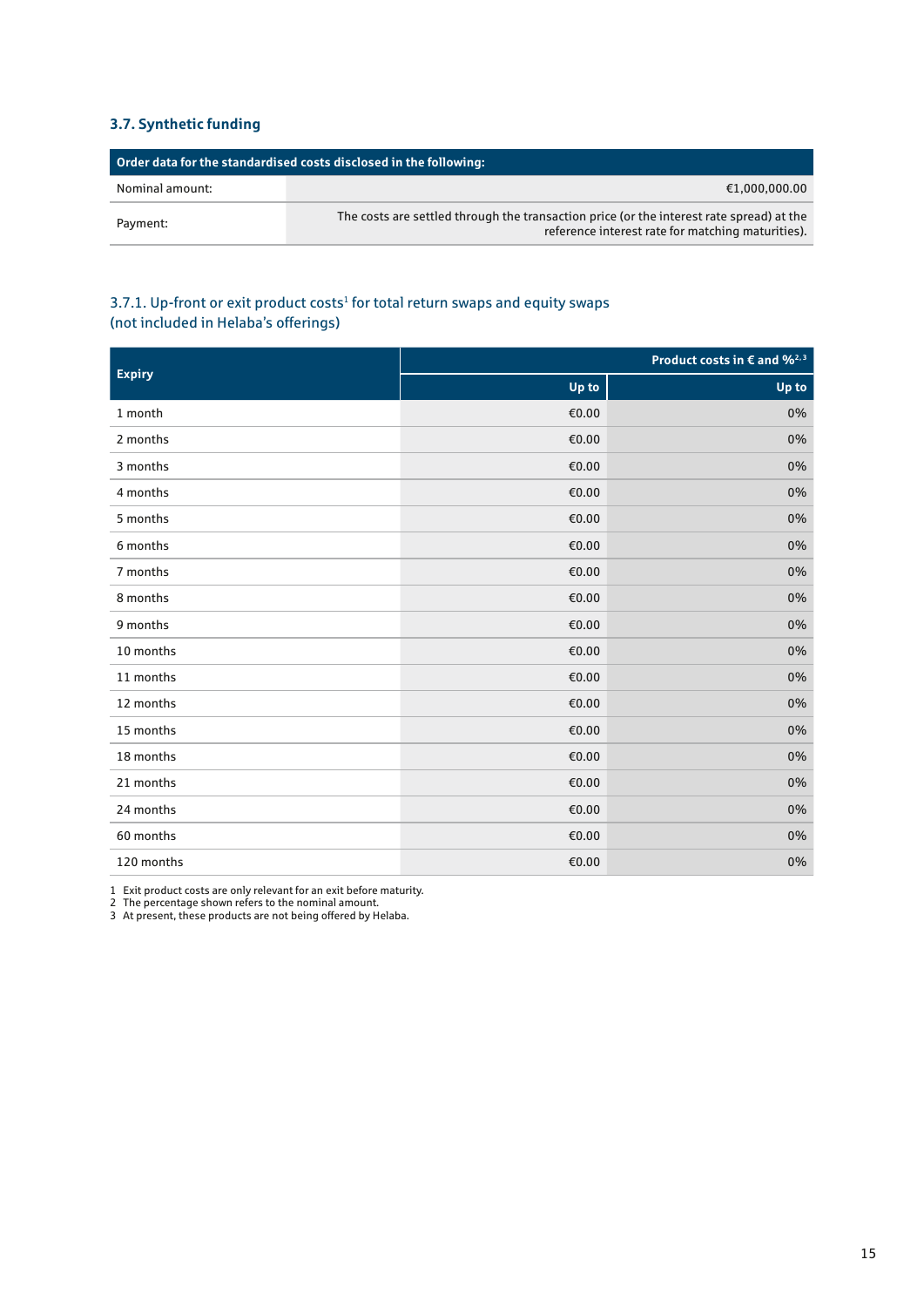#### **3.7. Synthetic funding**

| Order data for the standardised costs disclosed in the following: |                                                                                                                                               |
|-------------------------------------------------------------------|-----------------------------------------------------------------------------------------------------------------------------------------------|
| Nominal amount:                                                   | €1,000,000.00                                                                                                                                 |
| Payment:                                                          | The costs are settled through the transaction price (or the interest rate spread) at the<br>reference interest rate for matching maturities). |

#### 3.7.1. Up-front or exit product costs<sup>1</sup> for total return swaps and equity swaps (not included in Helaba's offerings)

| <b>Expiry</b> |       | Product costs in $\epsilon$ and $\frac{62}{3}$ |
|---------------|-------|------------------------------------------------|
|               | Up to | Up to                                          |
| 1 month       | €0.00 | 0%                                             |
| 2 months      | €0.00 | 0%                                             |
| 3 months      | €0.00 | 0%                                             |
| 4 months      | €0.00 | 0%                                             |
| 5 months      | €0.00 | 0%                                             |
| 6 months      | €0.00 | 0%                                             |
| 7 months      | €0.00 | 0%                                             |
| 8 months      | €0.00 | 0%                                             |
| 9 months      | €0.00 | 0%                                             |
| 10 months     | €0.00 | 0%                                             |
| 11 months     | €0.00 | 0%                                             |
| 12 months     | €0.00 | 0%                                             |
| 15 months     | €0.00 | 0%                                             |
| 18 months     | €0.00 | 0%                                             |
| 21 months     | €0.00 | 0%                                             |
| 24 months     | €0.00 | 0%                                             |
| 60 months     | €0.00 | 0%                                             |
| 120 months    | €0.00 | 0%                                             |

1 Exit product costs are only relevant for an exit before maturity.

2 The percentage shown refers to the nominal amount.

3 At present, these products are not being offered by Helaba.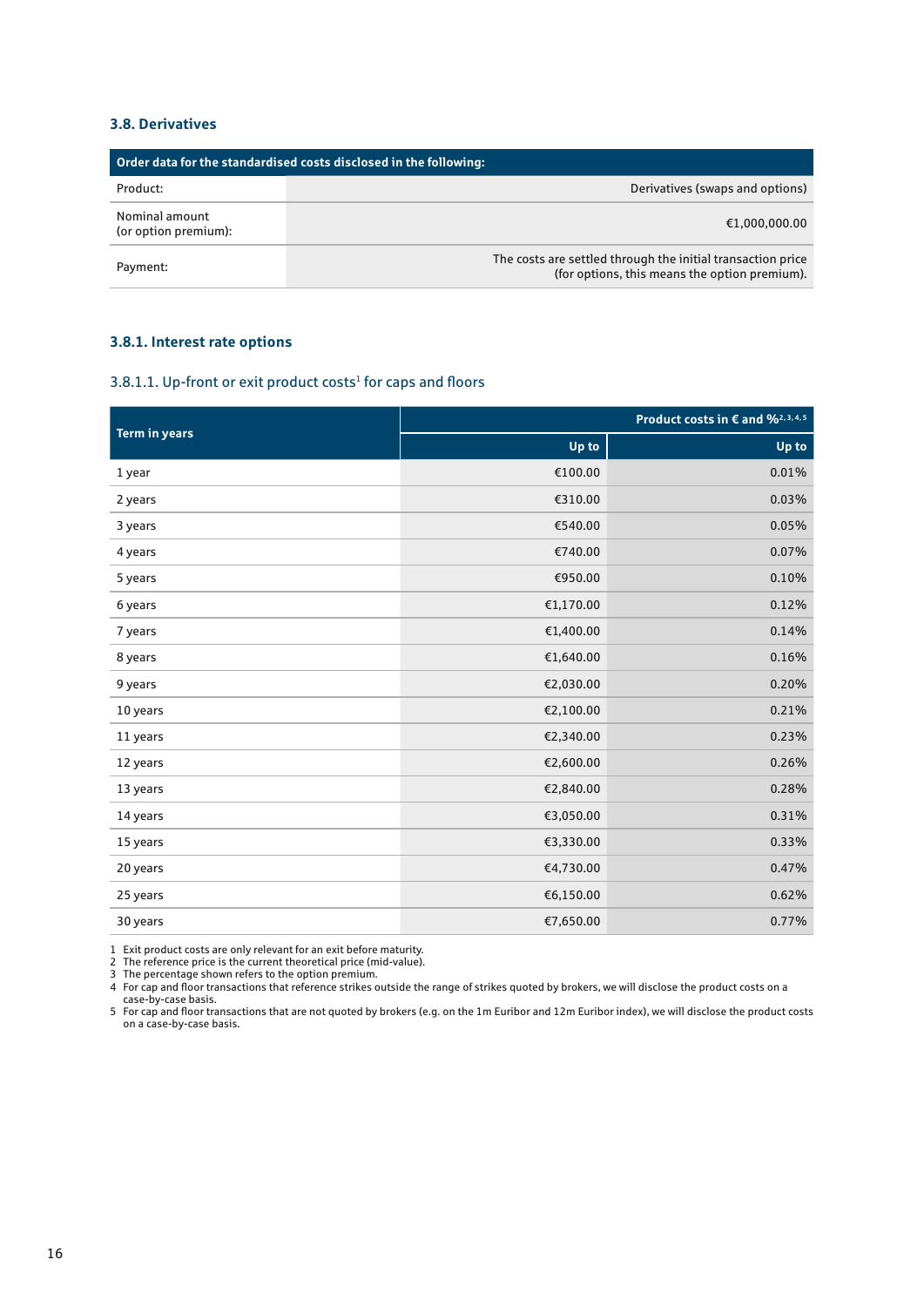#### **3.8. Derivatives**

| Order data for the standardised costs disclosed in the following: |                                                                                                              |
|-------------------------------------------------------------------|--------------------------------------------------------------------------------------------------------------|
| Product:                                                          | Derivatives (swaps and options)                                                                              |
| Nominal amount<br>(or option premium):                            | €1,000,000.00                                                                                                |
| Payment:                                                          | The costs are settled through the initial transaction price<br>(for options, this means the option premium). |

#### **3.8.1. Interest rate options**

#### 3.8.1.1. Up-front or exit product costs<sup>1</sup> for caps and floors

| <b>Term in years</b> | Product costs in € and % <sup>2, 3, 4, 5</sup> |       |
|----------------------|------------------------------------------------|-------|
|                      | Up to                                          | Up to |
| 1 year               | €100.00                                        | 0.01% |
| 2 years              | €310.00                                        | 0.03% |
| 3 years              | €540.00                                        | 0.05% |
| 4 years              | €740.00                                        | 0.07% |
| 5 years              | €950.00                                        | 0.10% |
| 6 years              | €1,170.00                                      | 0.12% |
| 7 years              | €1,400.00                                      | 0.14% |
| 8 years              | €1,640.00                                      | 0.16% |
| 9 years              | €2,030.00                                      | 0.20% |
| 10 years             | €2,100.00                                      | 0.21% |
| 11 years             | €2,340.00                                      | 0.23% |
| 12 years             | €2,600.00                                      | 0.26% |
| 13 years             | €2,840.00                                      | 0.28% |
| 14 years             | €3,050.00                                      | 0.31% |
| 15 years             | €3,330.00                                      | 0.33% |
| 20 years             | €4,730.00                                      | 0.47% |
| 25 years             | €6,150.00                                      | 0.62% |
| 30 years             | €7,650.00                                      | 0.77% |

1 Exit product costs are only relevant for an exit before maturity.

2 The reference price is the current theoretical price (mid-value).

3 The percentage shown refers to the option premium. 4 For cap and floor transactions that reference strikes outside the range of strikes quoted by brokers, we will disclose the product costs on a case-by-case basis.

5 For cap and floor transactions that are not quoted by brokers (e.g. on the 1m Euribor and 12m Euribor index), we will disclose the product costs on a case-by-case basis.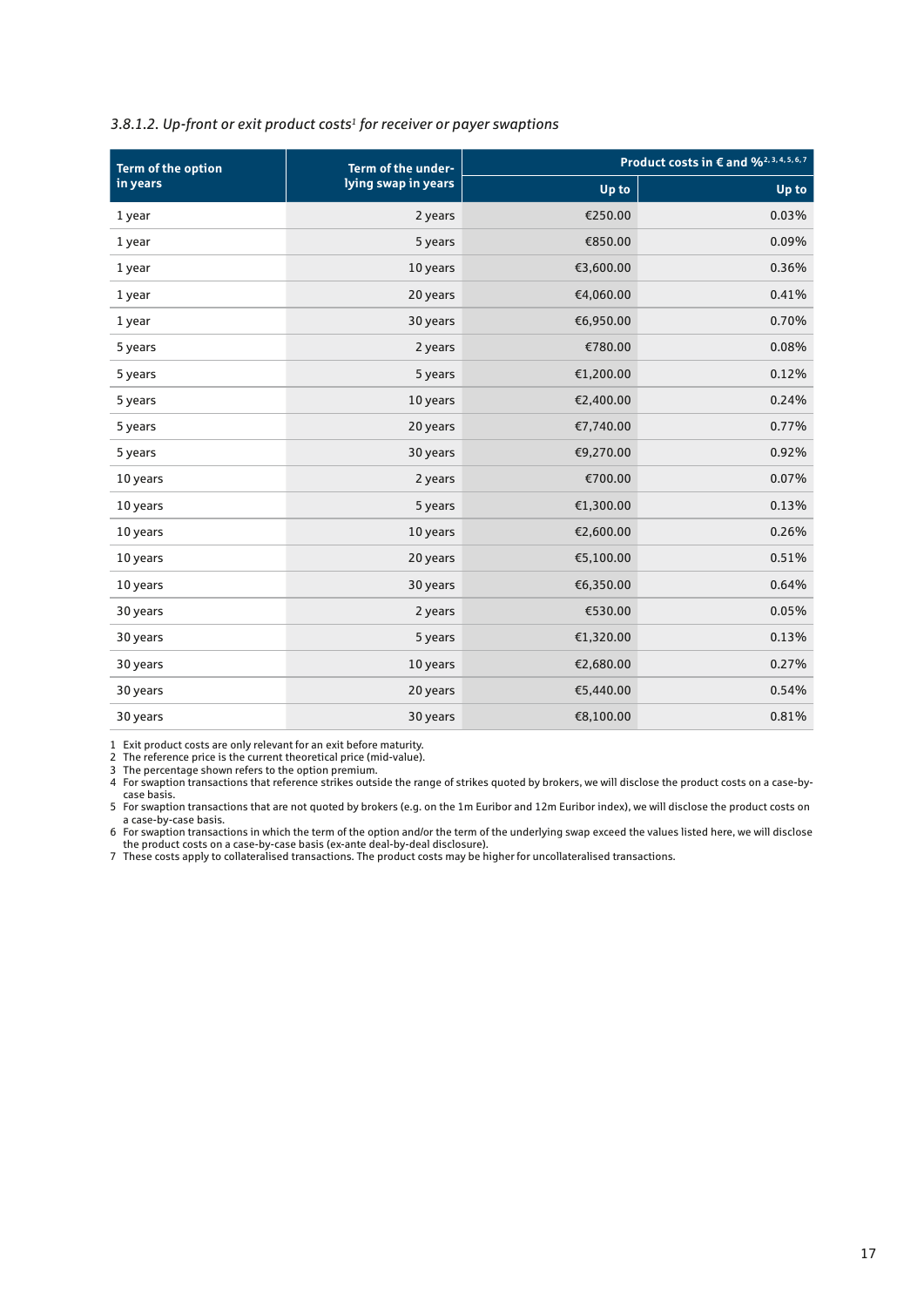#### *3.8.1.2. Up-front or exit product costs1 for receiver or payer swaptions*

| <b>Term of the option</b> | Term of the under-  |           | Product costs in € and % <sup>2, 3, 4, 5, 6, 7</sup> |
|---------------------------|---------------------|-----------|------------------------------------------------------|
| in years                  | lying swap in years | Up to     | Up to                                                |
| 1 year                    | 2 years             | €250.00   | 0.03%                                                |
| 1 year                    | 5 years             | €850.00   | 0.09%                                                |
| 1 year                    | 10 years            | €3,600.00 | 0.36%                                                |
| 1 year                    | 20 years            | €4,060.00 | 0.41%                                                |
| 1 year                    | 30 years            | €6,950.00 | 0.70%                                                |
| 5 years                   | 2 years             | €780.00   | 0.08%                                                |
| 5 years                   | 5 years             | €1,200.00 | 0.12%                                                |
| 5 years                   | 10 years            | €2,400.00 | 0.24%                                                |
| 5 years                   | 20 years            | €7,740.00 | 0.77%                                                |
| 5 years                   | 30 years            | €9,270.00 | 0.92%                                                |
| 10 years                  | 2 years             | €700.00   | 0.07%                                                |
| 10 years                  | 5 years             | €1,300.00 | 0.13%                                                |
| 10 years                  | 10 years            | €2,600.00 | 0.26%                                                |
| 10 years                  | 20 years            | €5,100.00 | 0.51%                                                |
| 10 years                  | 30 years            | €6,350.00 | 0.64%                                                |
| 30 years                  | 2 years             | €530.00   | 0.05%                                                |
| 30 years                  | 5 years             | €1,320.00 | 0.13%                                                |
| 30 years                  | 10 years            | €2,680.00 | 0.27%                                                |
| 30 years                  | 20 years            | €5,440.00 | 0.54%                                                |
| 30 years                  | 30 years            | €8,100.00 | 0.81%                                                |

1 Exit product costs are only relevant for an exit before maturity.

2 The reference price is the current theoretical price (mid-value).

3 The percentage shown refers to the option premium.

4 For swaption transactions that reference strikes outside the range of strikes quoted by brokers, we will disclose the product costs on a case-bycase basis.

5 For swaption transactions that are not quoted by brokers (e.g. on the 1m Euribor and 12m Euribor index), we will disclose the product costs on a case-by-case basis.

6 For swaption transactions in which the term of the option and/or the term of the underlying swap exceed the values listed here, we will disclose the product costs on a case-by-case basis (ex-ante deal-by-deal disclosure).

7 These costs apply to collateralised transactions. The product costs may be higher for uncollateralised transactions.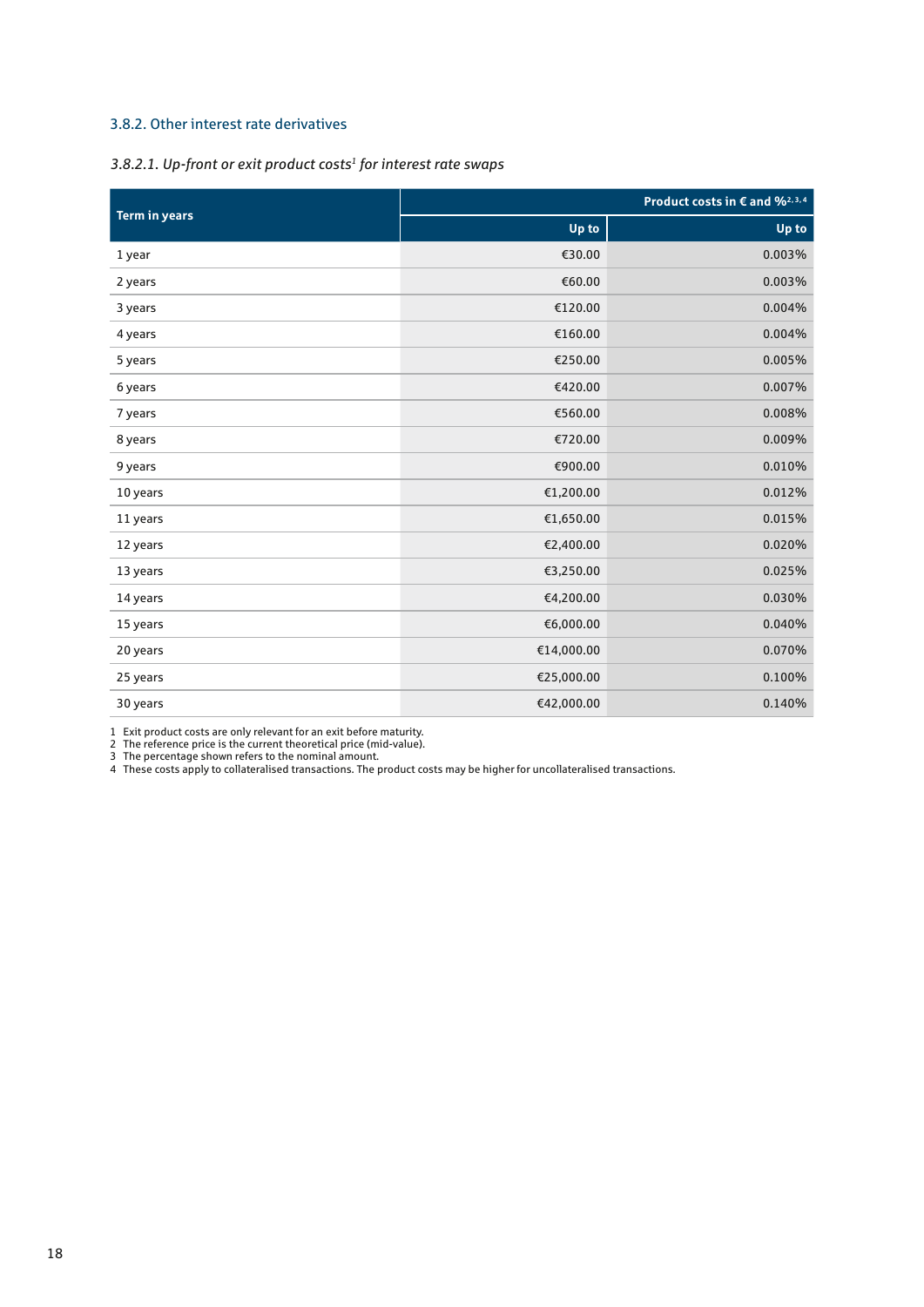#### 3.8.2. Other interest rate derivatives

#### *3.8.2.1. Up-front or exit product costs1 for interest rate swaps*

|                      | Product costs in $\epsilon$ and $\frac{q_0}{2}$ , 3, 4 |        |
|----------------------|--------------------------------------------------------|--------|
| <b>Term in years</b> | Up to                                                  | Up to  |
| 1 year               | €30.00                                                 | 0.003% |
| 2 years              | €60.00                                                 | 0.003% |
| 3 years              | €120.00                                                | 0.004% |
| 4 years              | €160.00                                                | 0.004% |
| 5 years              | €250.00                                                | 0.005% |
| 6 years              | €420.00                                                | 0.007% |
| 7 years              | €560.00                                                | 0.008% |
| 8 years              | €720.00                                                | 0.009% |
| 9 years              | €900.00                                                | 0.010% |
| 10 years             | €1,200.00                                              | 0.012% |
| 11 years             | €1,650.00                                              | 0.015% |
| 12 years             | €2,400.00                                              | 0.020% |
| 13 years             | €3,250.00                                              | 0.025% |
| 14 years             | €4,200.00                                              | 0.030% |
| 15 years             | €6,000.00                                              | 0.040% |
| 20 years             | €14,000.00                                             | 0.070% |
| 25 years             | €25,000.00                                             | 0.100% |
| 30 years             | €42,000.00                                             | 0.140% |

1 Exit product costs are only relevant for an exit before maturity.

2 The reference price is the current theoretical price (mid-value).

3 The percentage shown refers to the nominal amount.

4 These costs apply to collateralised transactions. The product costs may be higher for uncollateralised transactions.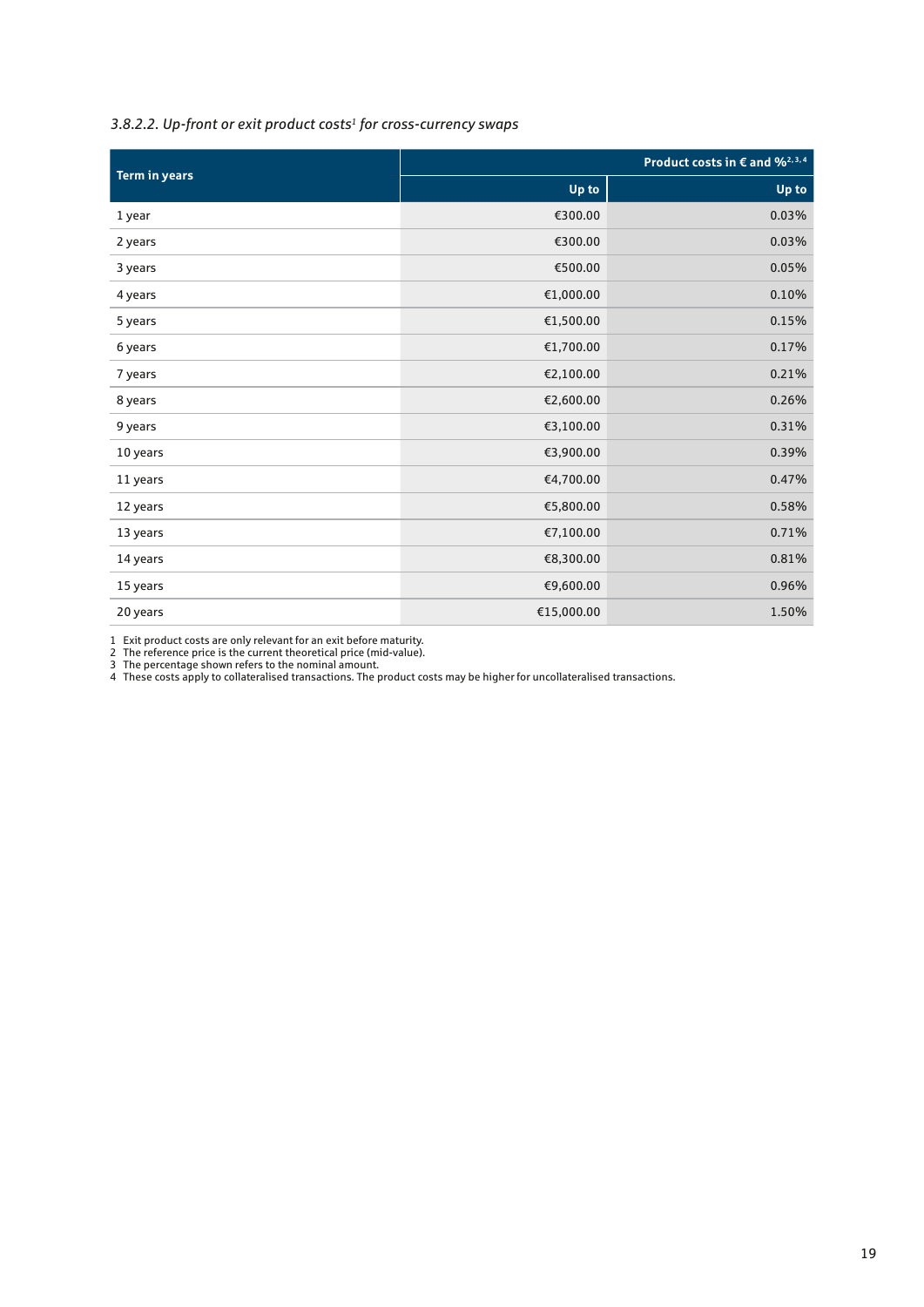### *3.8.2.2. Up-front or exit product costs1 for cross-currency swaps*

| <b>Term in years</b> |            | Product costs in $\epsilon$ and $\frac{q}{2}$ , 3, 4 |
|----------------------|------------|------------------------------------------------------|
|                      | Up to      | Up to                                                |
| 1 year               | €300.00    | 0.03%                                                |
| 2 years              | €300.00    | 0.03%                                                |
| 3 years              | €500.00    | 0.05%                                                |
| 4 years              | €1,000.00  | 0.10%                                                |
| 5 years              | €1,500.00  | 0.15%                                                |
| 6 years              | €1,700.00  | 0.17%                                                |
| 7 years              | €2,100.00  | 0.21%                                                |
| 8 years              | €2,600.00  | 0.26%                                                |
| 9 years              | €3,100.00  | 0.31%                                                |
| 10 years             | €3,900.00  | 0.39%                                                |
| 11 years             | €4,700.00  | 0.47%                                                |
| 12 years             | €5,800.00  | 0.58%                                                |
| 13 years             | €7,100.00  | 0.71%                                                |
| 14 years             | €8,300.00  | 0.81%                                                |
| 15 years             | €9,600.00  | 0.96%                                                |
| 20 years             | €15,000.00 | 1.50%                                                |

1 Exit product costs are only relevant for an exit before maturity.

2 The reference price is the current theoretical price (mid-value).

3 The percentage shown refers to the nominal amount.

4 These costs apply to collateralised transactions. The product costs may be higher for uncollateralised transactions.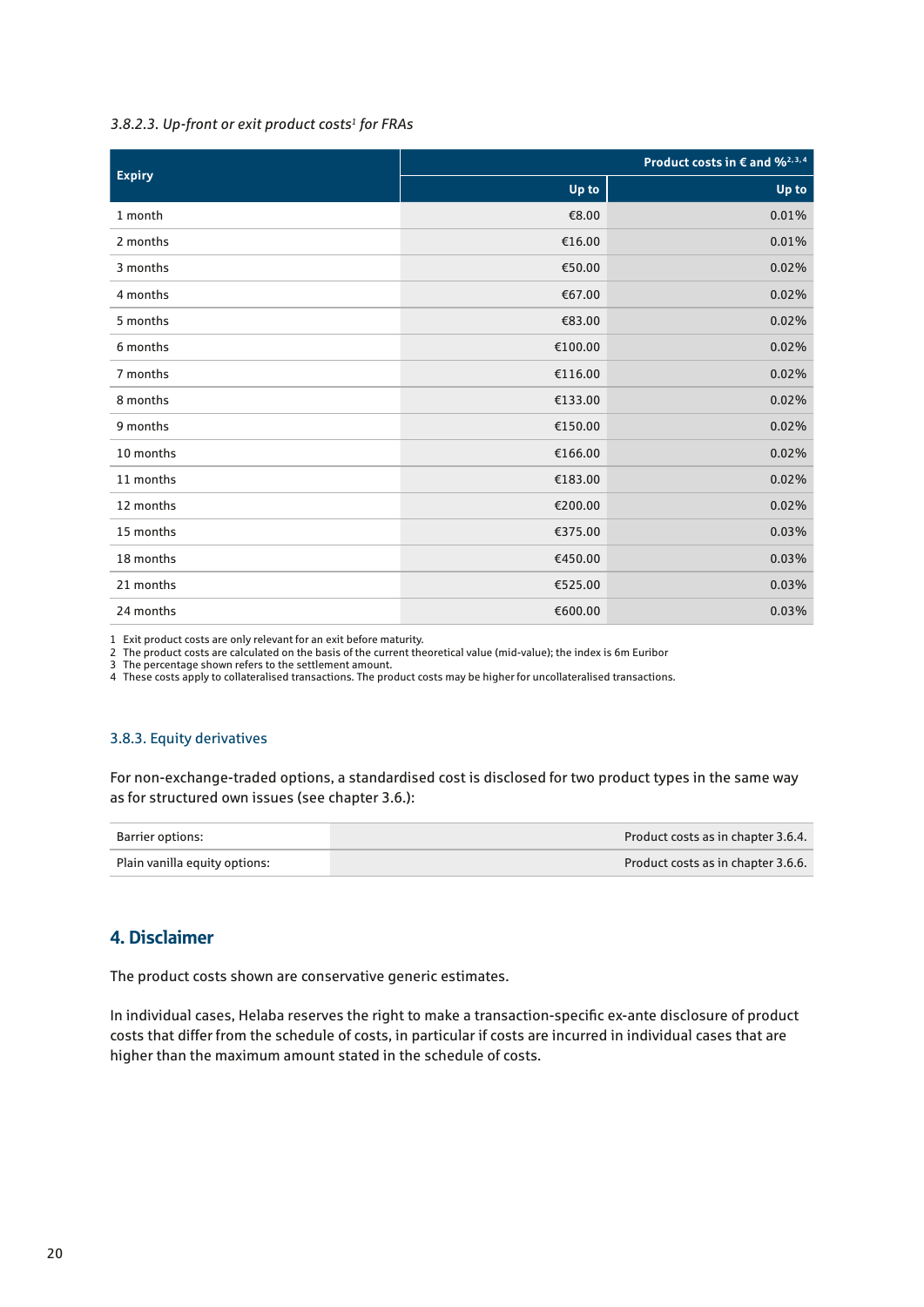#### *3.8.2.3. Up-front or exit product costs1 for FRAs*

| <b>Expiry</b> | Product costs in $\epsilon$ and $\frac{96^{2,3,4}}{2}$ |       |
|---------------|--------------------------------------------------------|-------|
|               | Up to                                                  | Up to |
| 1 month       | €8.00                                                  | 0.01% |
| 2 months      | €16.00                                                 | 0.01% |
| 3 months      | €50.00                                                 | 0.02% |
| 4 months      | €67.00                                                 | 0.02% |
| 5 months      | €83.00                                                 | 0.02% |
| 6 months      | €100.00                                                | 0.02% |
| 7 months      | €116.00                                                | 0.02% |
| 8 months      | €133.00                                                | 0.02% |
| 9 months      | €150.00                                                | 0.02% |
| 10 months     | €166.00                                                | 0.02% |
| 11 months     | €183.00                                                | 0.02% |
| 12 months     | €200.00                                                | 0.02% |
| 15 months     | €375.00                                                | 0.03% |
| 18 months     | €450.00                                                | 0.03% |
| 21 months     | €525.00                                                | 0.03% |
| 24 months     | €600.00                                                | 0.03% |

1 Exit product costs are only relevant for an exit before maturity.

2 The product costs are calculated on the basis of the current theoretical value (mid-value); the index is 6m Euribor

3 The percentage shown refers to the settlement amount.

4 These costs apply to collateralised transactions. The product costs may be higher for uncollateralised transactions.

#### 3.8.3. Equity derivatives

For non-exchange-traded options, a standardised cost is disclosed for two product types in the same way as for structured own issues (see chapter 3.6.):

| Barrier options:              | Product costs as in chapter 3.6.4. |
|-------------------------------|------------------------------------|
| Plain vanilla equity options: | Product costs as in chapter 3.6.6. |

#### 4. Disclaimer

The product costs shown are conservative generic estimates.

In individual cases, Helaba reserves the right to make a transaction-specific ex-ante disclosure of product costs that differ from the schedule of costs, in particular if costs are incurred in individual cases that are higher than the maximum amount stated in the schedule of costs.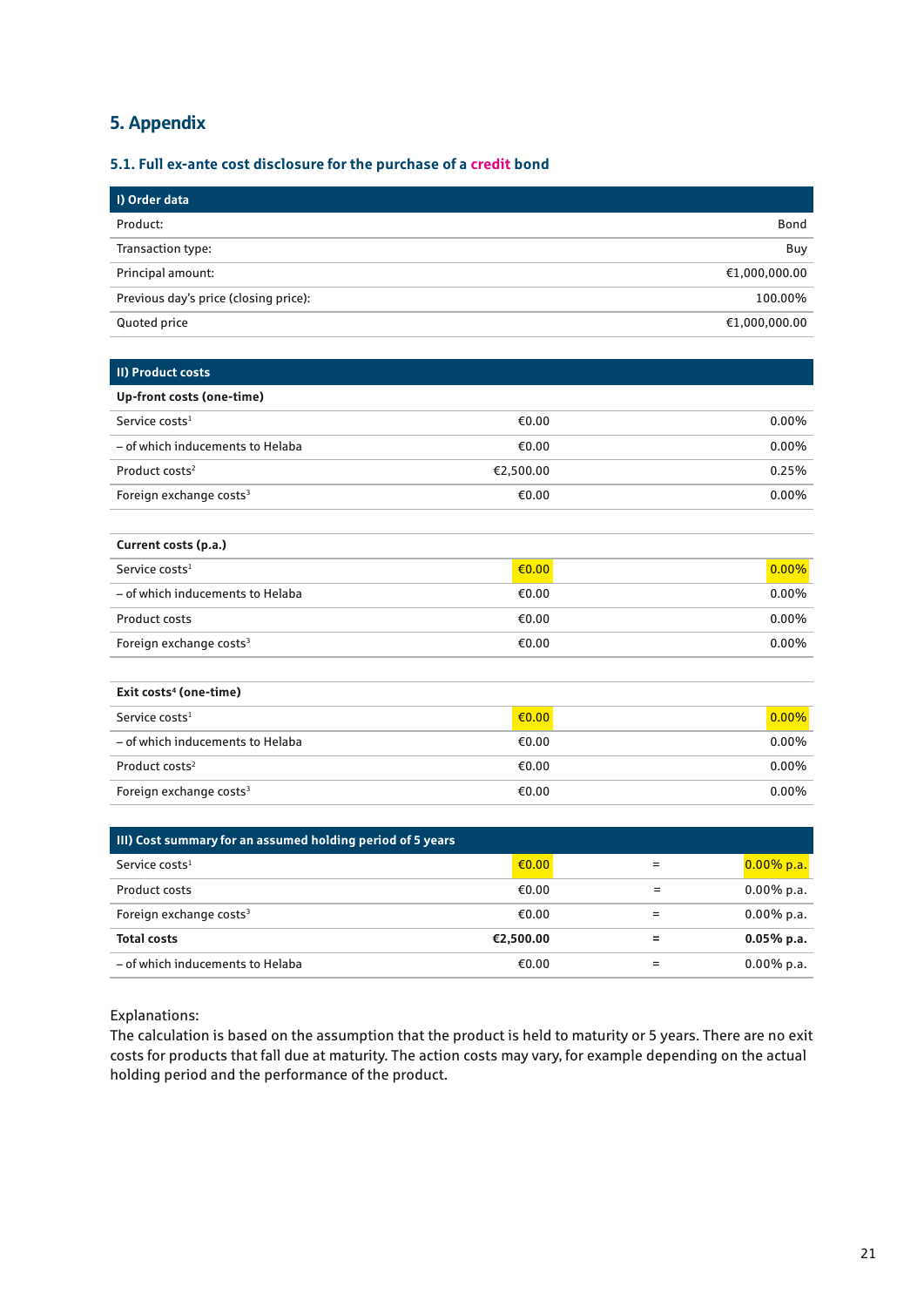## 5. Appendix

#### **5.1. Full ex-ante cost disclosure for the purchase of a credit bond**

| I) Order data                         |               |
|---------------------------------------|---------------|
| Product:                              | <b>Bond</b>   |
| Transaction type:                     | Buy           |
| Principal amount:                     | €1,000,000.00 |
| Previous day's price (closing price): | 100.00%       |
| Quoted price                          | €1,000,000.00 |

| II) Product costs                   |                 |          |
|-------------------------------------|-----------------|----------|
| Up-front costs (one-time)           |                 |          |
| Service costs <sup>1</sup>          | €0.00           | $0.00\%$ |
| - of which inducements to Helaba    | €0.00           | $0.00\%$ |
| Product costs <sup>2</sup>          | €2,500.00       | 0.25%    |
| Foreign exchange costs <sup>3</sup> | €0.00           | $0.00\%$ |
|                                     |                 |          |
| Current costs (p.a.)                |                 |          |
| Service costs <sup>1</sup>          | $\epsilon$ 0.00 | $0.00\%$ |
| - of which inducements to Helaba    | €0.00           | $0.00\%$ |
| <b>Product costs</b>                | €0.00           | $0.00\%$ |
| Foreign exchange costs <sup>3</sup> | €0.00           | $0.00\%$ |
|                                     |                 |          |
| Exit costs <sup>4</sup> (one-time)  |                 |          |

| Service costs <sup>1</sup>          | $\epsilon$ 0.00 | $0.00\%$ |
|-------------------------------------|-----------------|----------|
| - of which inducements to Helaba    | €0.00           | $0.00\%$ |
| Product costs <sup>2</sup>          | €0.00           | $0.00\%$ |
| Foreign exchange costs <sup>3</sup> | €0.00           | $0.00\%$ |

| III) Cost summary for an assumed holding period of 5 years |                            |               |
|------------------------------------------------------------|----------------------------|---------------|
| Service costs <sup>1</sup>                                 | $\epsilon$ <sub>0.00</sub> | $0.00\%$ p.a. |
| Product costs                                              | €0.00                      | $0.00\%$ p.a. |
| Foreign exchange costs <sup>3</sup>                        | €0.00                      | $0.00\%$ p.a. |
| <b>Total costs</b>                                         | €2,500.00                  | $0.05\%$ p.a. |
| - of which inducements to Helaba                           | €0.00                      | $0.00\%$ p.a. |

Explanations:

The calculation is based on the assumption that the product is held to maturity or 5 years. There are no exit costs for products that fall due at maturity. The action costs may vary, for example depending on the actual holding period and the performance of the product.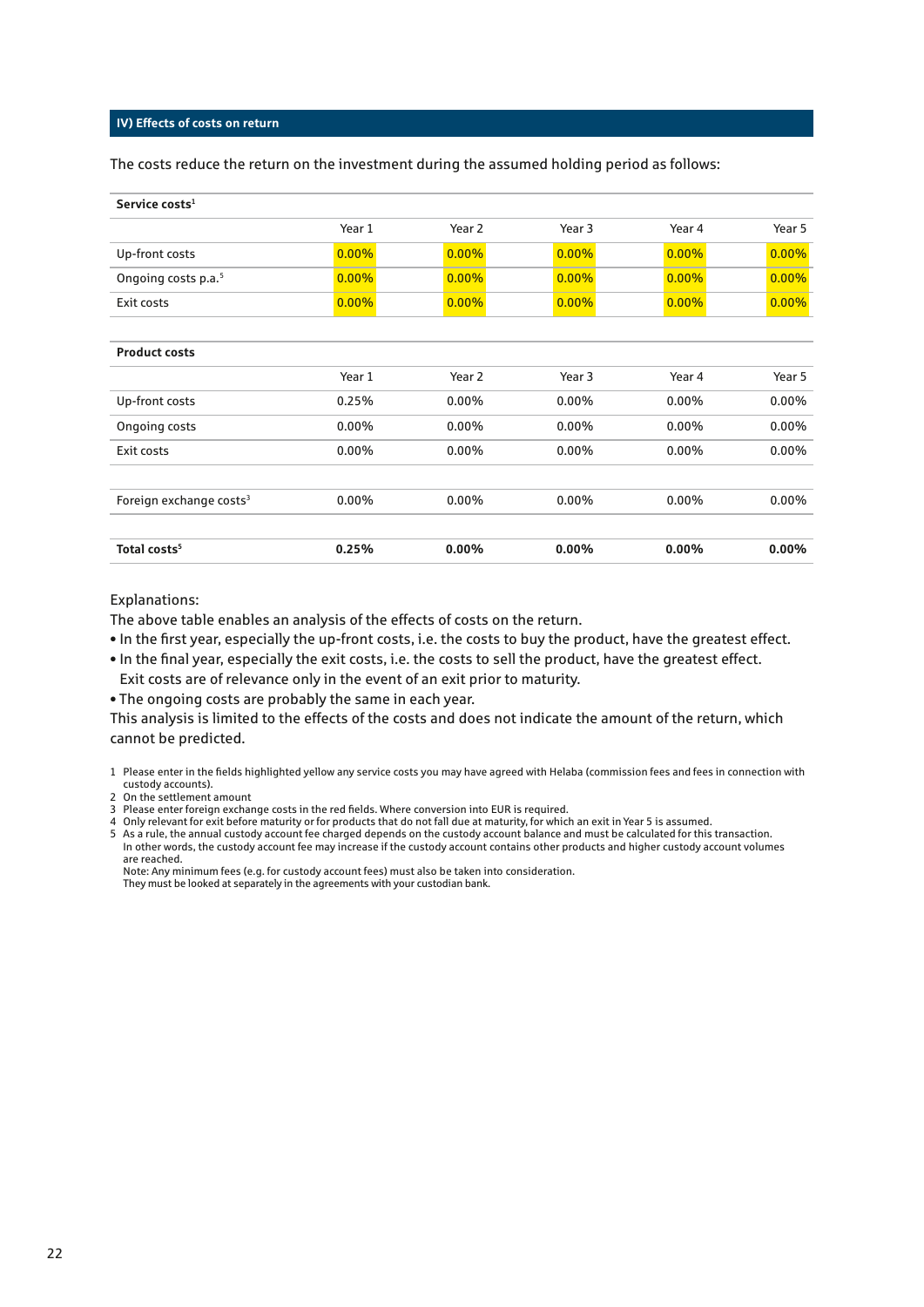#### **IV) Effects of costs on return**

The costs reduce the return on the investment during the assumed holding period as follows:

| Service costs <sup>1</sup>          |          |          |          |          |          |
|-------------------------------------|----------|----------|----------|----------|----------|
|                                     | Year 1   | Year 2   | Year 3   | Year 4   | Year 5   |
| Up-front costs                      | $0.00\%$ | $0.00\%$ | $0.00\%$ | $0.00\%$ | 0.00%    |
| Ongoing costs p.a. <sup>5</sup>     | $0.00\%$ | $0.00\%$ | $0.00\%$ | $0.00\%$ | 0.00%    |
| Exit costs                          | $0.00\%$ | $0.00\%$ | 0.00%    | $0.00\%$ | $0.00\%$ |
|                                     |          |          |          |          |          |
| <b>Product costs</b>                |          |          |          |          |          |
|                                     | Year 1   | Year 2   | Year 3   | Year 4   | Year 5   |
| Up-front costs                      | 0.25%    | $0.00\%$ | $0.00\%$ | $0.00\%$ | $0.00\%$ |
| Ongoing costs                       | $0.00\%$ | $0.00\%$ | $0.00\%$ | $0.00\%$ | $0.00\%$ |
| Exit costs                          | 0.00%    | $0.00\%$ | 0.00%    | 0.00%    | $0.00\%$ |
|                                     |          |          |          |          |          |
| Foreign exchange costs <sup>3</sup> | $0.00\%$ | $0.00\%$ | $0.00\%$ | $0.00\%$ | $0.00\%$ |
|                                     |          |          |          |          |          |
| Total costs <sup>5</sup>            | 0.25%    | 0.00%    | $0.00\%$ | 0.00%    | 0.00%    |

#### Explanations:

The above table enables an analysis of the effects of costs on the return.

- In the first year, especially the up-front costs, i.e. the costs to buy the product, have the greatest effect.
- In the final year, especially the exit costs, i.e. the costs to sell the product, have the greatest effect. Exit costs are of relevance only in the event of an exit prior to maturity.
- The ongoing costs are probably the same in each year.

This analysis is limited to the effects of the costs and does not indicate the amount of the return, which cannot be predicted.

1 Please enter in the fields highlighted yellow any service costs you may have agreed with Helaba (commission fees and fees in connection with custody accounts).

- 2 On the settlement amount
- 3 Please enter foreign exchange costs in the red fields. Where conversion into EUR is required.
- 4 Only relevant for exit before maturity or for products that do not fall due at maturity, for which an exit in Year 5 is assumed.
- 5 As a rule, the annual custody account fee charged depends on the custody account balance and must be calculated for this transaction. In other words, the custody account fee may increase if the custody account contains other products and higher custody account volumes are reached.

Note: Any minimum fees (e.g. for custody account fees) must also be taken into consideration. They must be looked at separately in the agreements with your custodian bank.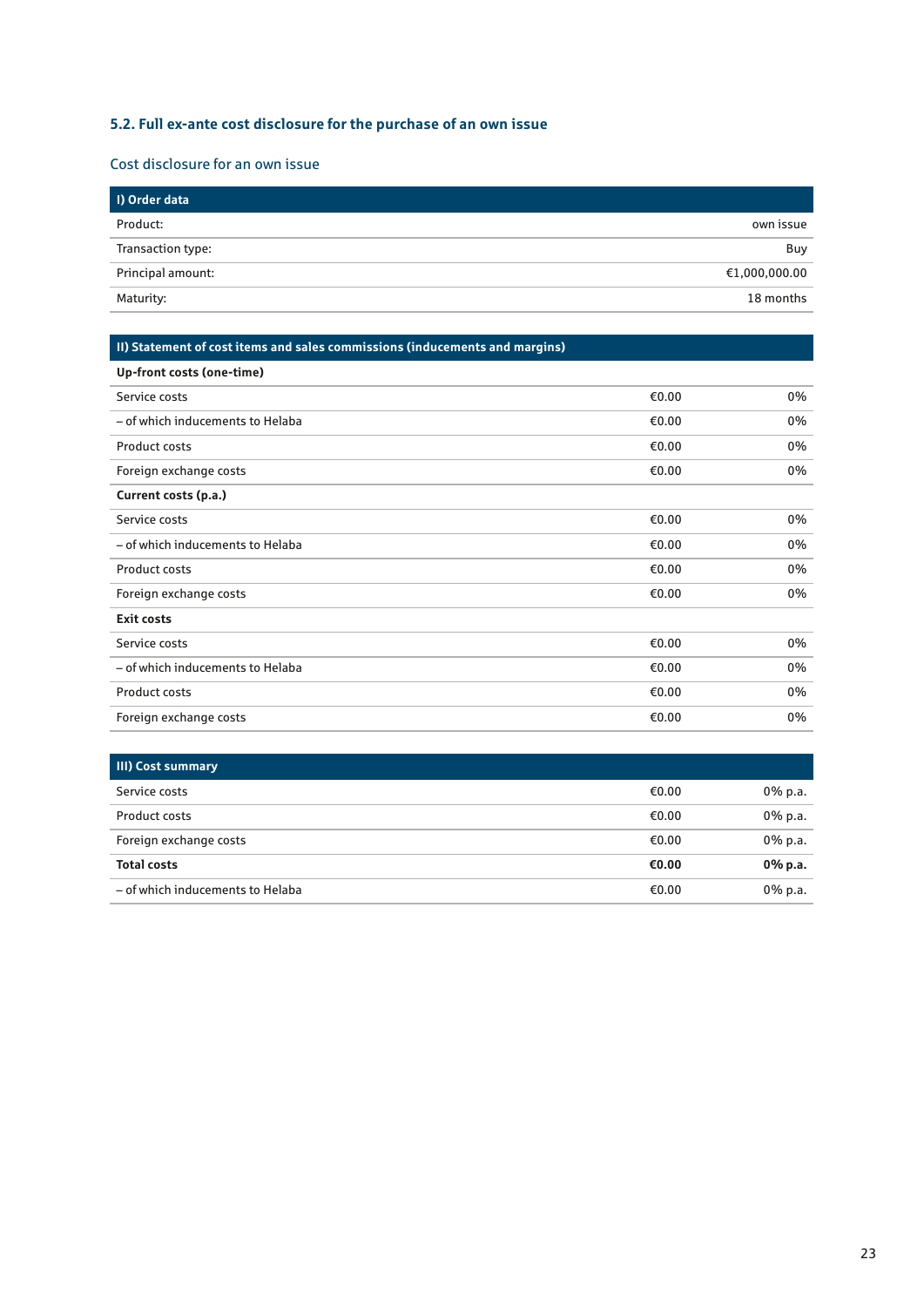## **5.2. Full ex-ante cost disclosure for the purchase of an own issue**

#### Cost disclosure for an own issue

| I) Order data     |               |
|-------------------|---------------|
| Product:          | own issue     |
| Transaction type: | Buy           |
| Principal amount: | €1,000,000.00 |
| Maturity:         | 18 months     |

#### **II) Statement of cost items and sales commissions (inducements and margins)**

| Up-front costs (one-time)        |       |    |
|----------------------------------|-------|----|
| Service costs                    | €0.00 | 0% |
| - of which inducements to Helaba | €0.00 | 0% |
| Product costs                    | €0.00 | 0% |
| Foreign exchange costs           | €0.00 | 0% |
| Current costs (p.a.)             |       |    |
| Service costs                    | €0.00 | 0% |
| - of which inducements to Helaba | €0.00 | 0% |
| Product costs                    | €0.00 | 0% |
| Foreign exchange costs           | €0.00 | 0% |
| <b>Exit costs</b>                |       |    |
| Service costs                    | €0.00 | 0% |
| - of which inducements to Helaba | €0.00 | 0% |
| <b>Product costs</b>             | €0.00 | 0% |
| Foreign exchange costs           | €0.00 | 0% |

| <b>III) Cost summary</b>         |       |            |
|----------------------------------|-------|------------|
| Service costs                    | €0.00 | $0\%$ p.a. |
| Product costs                    | €0.00 | $0\%$ p.a. |
| Foreign exchange costs           | €0.00 | $0\%$ p.a. |
| <b>Total costs</b>               | €0.00 | 0% p.a.    |
| - of which inducements to Helaba | €0.00 | $0\%$ p.a. |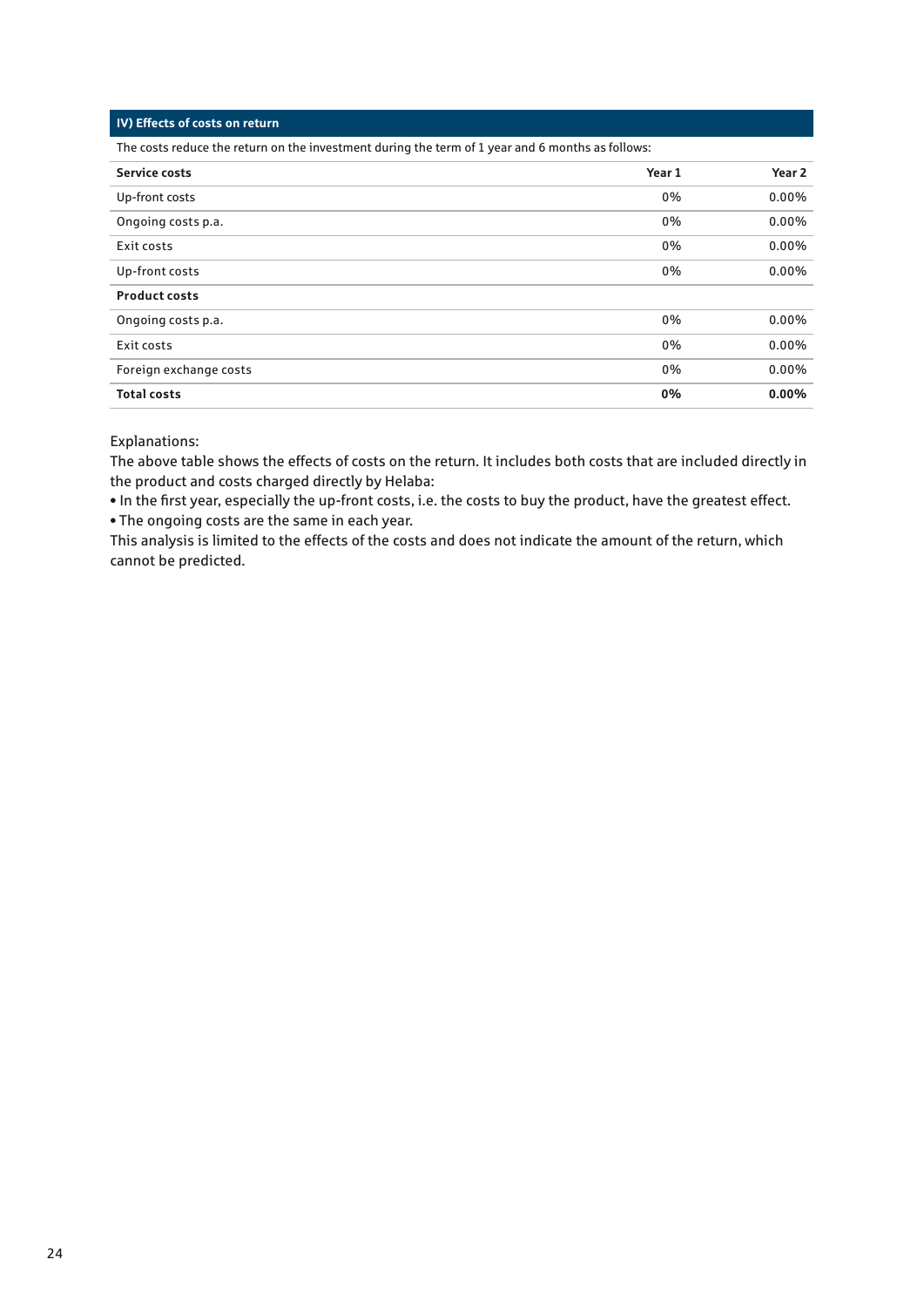#### **IV) Effects of costs on return**

The costs reduce the return on the investment during the term of 1 year and 6 months as follows:

| <b>Service costs</b>   | Year 1 | Year <sub>2</sub> |
|------------------------|--------|-------------------|
| Up-front costs         | 0%     | 0.00%             |
| Ongoing costs p.a.     | 0%     | 0.00%             |
| Exit costs             | 0%     | 0.00%             |
| Up-front costs         | 0%     | $0.00\%$          |
| <b>Product costs</b>   |        |                   |
| Ongoing costs p.a.     | 0%     | $0.00\%$          |
| Exit costs             | 0%     | $0.00\%$          |
| Foreign exchange costs | 0%     | $0.00\%$          |
| <b>Total costs</b>     | 0%     | $0.00\%$          |

#### Explanations:

The above table shows the effects of costs on the return. It includes both costs that are included directly in the product and costs charged directly by Helaba:

• In the first year, especially the up-front costs, i.e. the costs to buy the product, have the greatest effect. • The ongoing costs are the same in each year.

This analysis is limited to the effects of the costs and does not indicate the amount of the return, which cannot be predicted.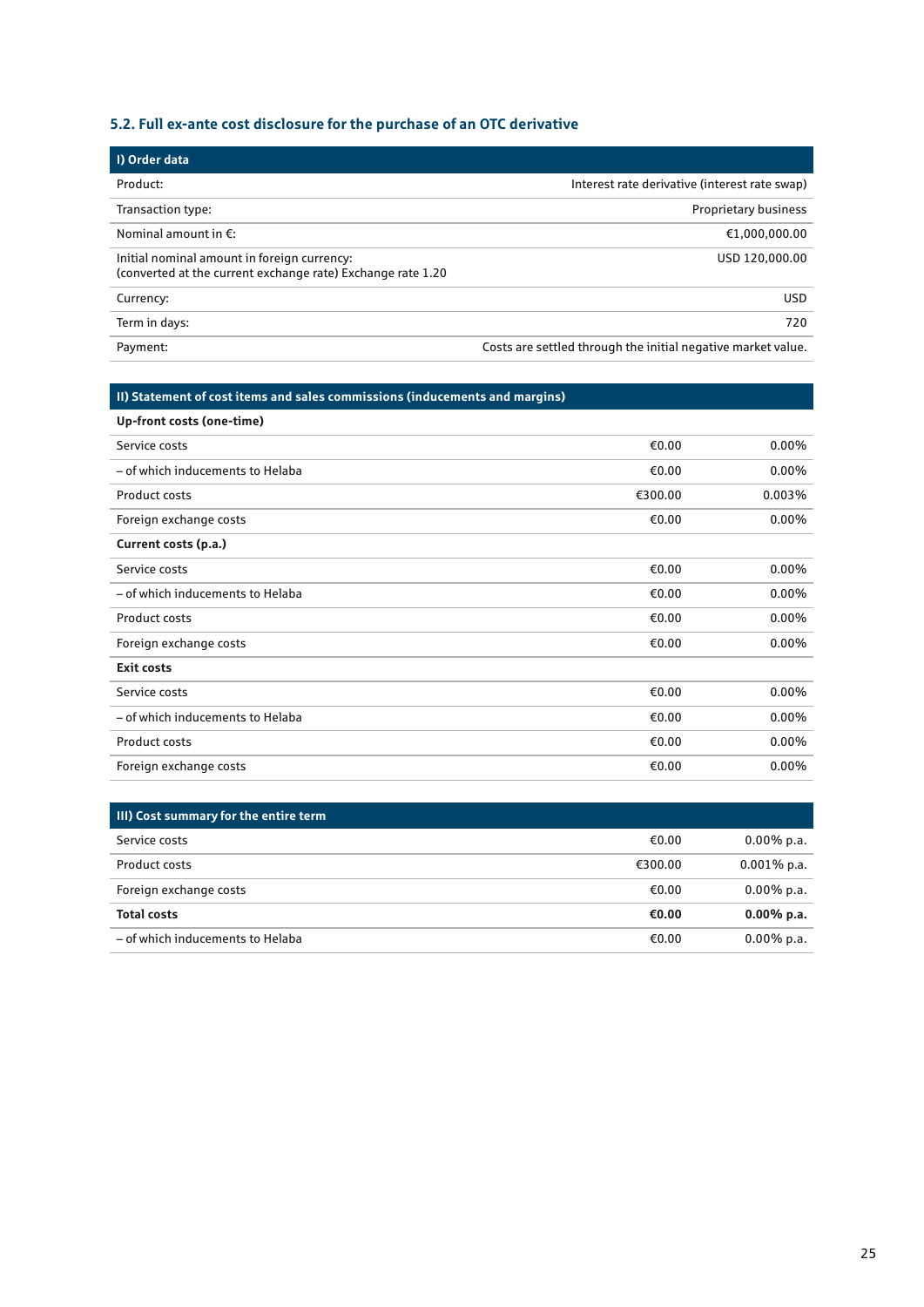## **5.2. Full ex-ante cost disclosure for the purchase of an OTC derivative**

| I) Order data                                                                                              |                                                              |
|------------------------------------------------------------------------------------------------------------|--------------------------------------------------------------|
| Product:                                                                                                   | Interest rate derivative (interest rate swap)                |
| Transaction type:                                                                                          | <b>Proprietary business</b>                                  |
| Nominal amount in $E$ :                                                                                    | €1,000,000.00                                                |
| Initial nominal amount in foreign currency:<br>(converted at the current exchange rate) Exchange rate 1.20 | USD 120,000.00                                               |
| Currency:                                                                                                  | <b>USD</b>                                                   |
| Term in days:                                                                                              | 720                                                          |
| Payment:                                                                                                   | Costs are settled through the initial negative market value. |

## **II) Statement of cost items and sales commissions (inducements and margins)**

| Up-front costs (one-time)        |         |          |
|----------------------------------|---------|----------|
| Service costs                    | €0.00   | $0.00\%$ |
| - of which inducements to Helaba | €0.00   | $0.00\%$ |
| Product costs                    | €300.00 | 0.003%   |
| Foreign exchange costs           | €0.00   | $0.00\%$ |
| Current costs (p.a.)             |         |          |
| Service costs                    | €0.00   | $0.00\%$ |
| - of which inducements to Helaba | €0.00   | $0.00\%$ |
| Product costs                    | €0.00   | $0.00\%$ |
| Foreign exchange costs           | €0.00   | $0.00\%$ |
| <b>Exit costs</b>                |         |          |
| Service costs                    | €0.00   | $0.00\%$ |
| - of which inducements to Helaba | €0.00   | $0.00\%$ |
| <b>Product costs</b>             | €0.00   | $0.00\%$ |
| Foreign exchange costs           | €0.00   | $0.00\%$ |
|                                  |         |          |

| <b>III) Cost summary for the entire term</b> |         |                |
|----------------------------------------------|---------|----------------|
| Service costs                                | €0.00   | $0.00\%$ p.a.  |
| Product costs                                | €300.00 | $0.001\%$ p.a. |
| Foreign exchange costs                       | €0.00   | $0.00\%$ p.a.  |
| <b>Total costs</b>                           | €0.00   | $0.00\%$ p.a.  |
| - of which inducements to Helaba             | €0.00   | $0.00\%$ p.a.  |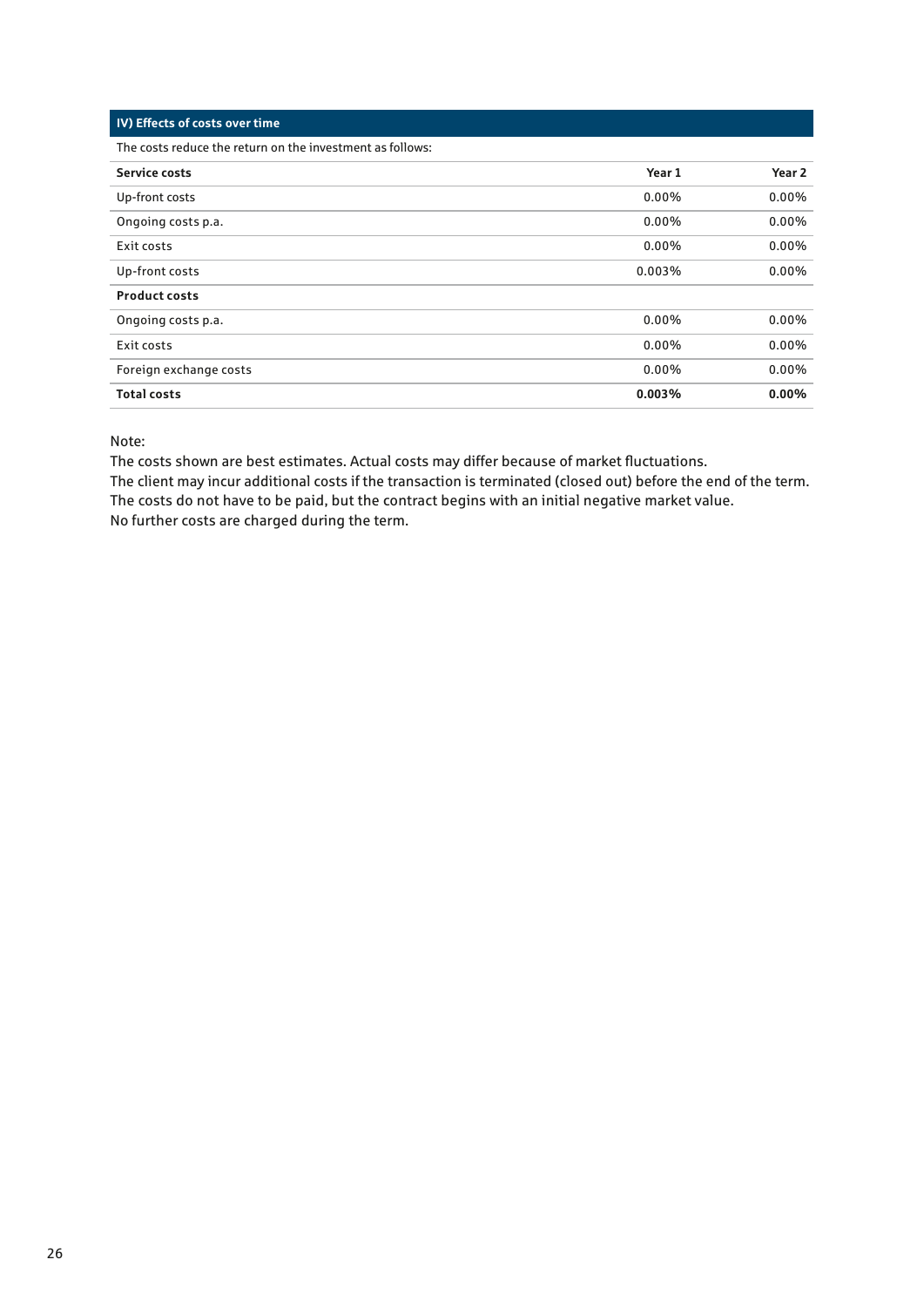| IV) Effects of costs over time. |  |
|---------------------------------|--|
|---------------------------------|--|

The costs reduce the return on the investment as follows:

| <b>Service costs</b>   | Year 1   | Year <sub>2</sub> |
|------------------------|----------|-------------------|
| Up-front costs         | $0.00\%$ | 0.00%             |
| Ongoing costs p.a.     | $0.00\%$ | 0.00%             |
| Exit costs             | $0.00\%$ | $0.00\%$          |
| Up-front costs         | 0.003%   | $0.00\%$          |
| <b>Product costs</b>   |          |                   |
| Ongoing costs p.a.     | $0.00\%$ | $0.00\%$          |
| Exit costs             | $0.00\%$ | $0.00\%$          |
| Foreign exchange costs | $0.00\%$ | $0.00\%$          |
| <b>Total costs</b>     | 0.003%   | $0.00\%$          |

Note:

The costs shown are best estimates. Actual costs may differ because of market fluctuations.

The client may incur additional costs if the transaction is terminated (closed out) before the end of the term. The costs do not have to be paid, but the contract begins with an initial negative market value. No further costs are charged during the term.